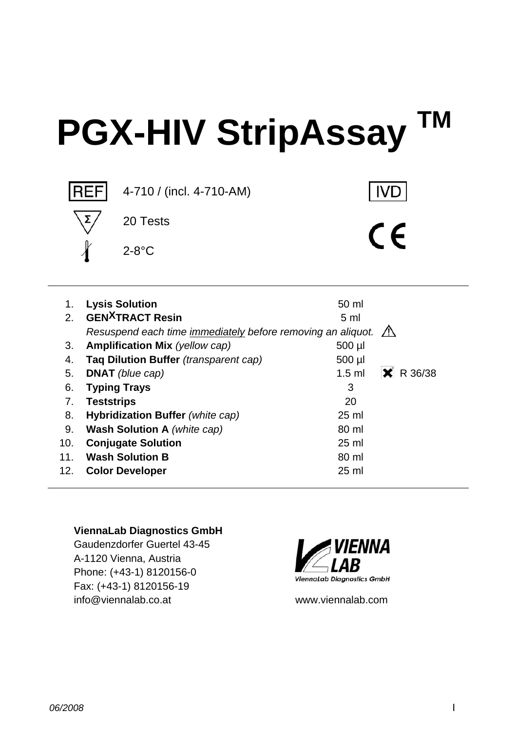# **PGX-HIV StripAssay TM**



| 1.  | <b>Lysis Solution</b>                                       | 50 ml               |
|-----|-------------------------------------------------------------|---------------------|
| 2.  | <b>GEN<sup>X</sup>TRACT</b> Resin                           | 5 <sub>m</sub>      |
|     | Resuspend each time immediately before removing an aliquot. | $\mathbb{A}$        |
| 3.  | <b>Amplification Mix (yellow cap)</b>                       | 500 µl              |
| 4.  | Taq Dilution Buffer (transparent cap)                       | 500 µl              |
| 5.  | <b>DNAT</b> (blue cap)                                      | R 36/38<br>$1.5$ ml |
| 6.  | <b>Typing Trays</b>                                         | 3                   |
| 7.  | <b>Teststrips</b>                                           | 20                  |
| 8.  | Hybridization Buffer (white cap)                            | $25$ ml             |
| 9.  | <b>Wash Solution A</b> (white cap)                          | 80 ml               |
| 10. | <b>Conjugate Solution</b>                                   | $25$ ml             |
| 11. | <b>Wash Solution B</b>                                      | 80 ml               |
| 12. | <b>Color Developer</b>                                      | $25 \text{ ml}$     |

#### **ViennaLab Diagnostics GmbH**

Gaudenzdorfer Guertel 43-45 A-1120 Vienna, Austria Phone: (+43-1) 8120156-0 Fax: (+43-1) 8120156-19 info@viennalab.co.at www.viennalab.com

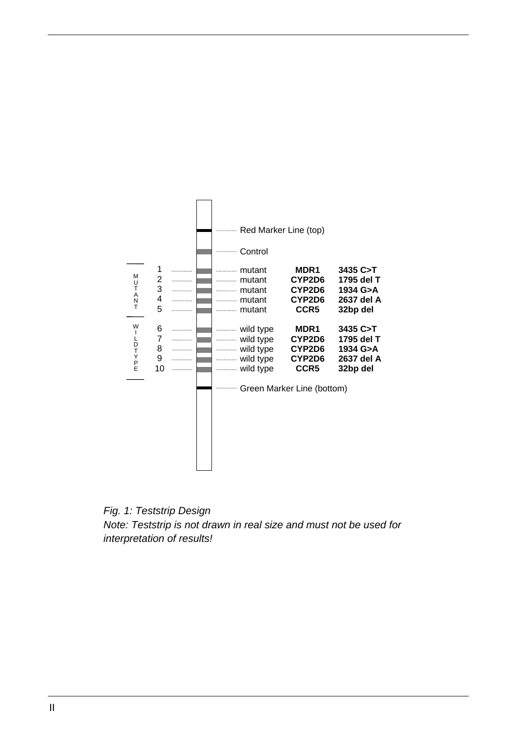

*Fig. 1: Teststrip Design Note: Teststrip is not drawn in real size and must not be used for interpretation of results!*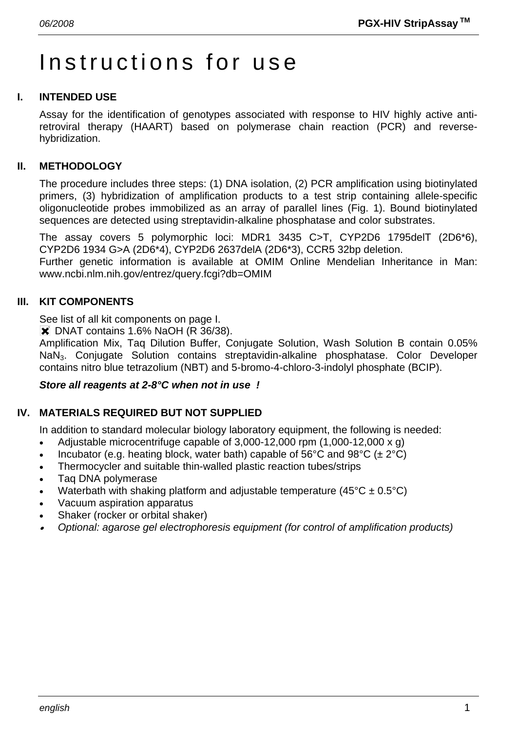# Instructions for use

## **I. INTENDED USE**

Assay for the identification of genotypes associated with response to HIV highly active antiretroviral therapy (HAART) based on polymerase chain reaction (PCR) and reversehybridization.

## **II. METHODOLOGY**

The procedure includes three steps: (1) DNA isolation, (2) PCR amplification using biotinylated primers, (3) hybridization of amplification products to a test strip containing allele-specific oligonucleotide probes immobilized as an array of parallel lines (Fig. 1). Bound biotinylated sequences are detected using streptavidin-alkaline phosphatase and color substrates.

The assay covers 5 polymorphic loci: MDR1 3435 C>T, CYP2D6 1795delT (2D6\*6), CYP2D6 1934 G>A (2D6\*4), CYP2D6 2637delA (2D6\*3), CCR5 32bp deletion.

Further genetic information is available at OMIM Online Mendelian Inheritance in Man: www.ncbi.nlm.nih.gov/entrez/query.fcgi?db=OMIM

#### **III. KIT COMPONENTS**

See list of all kit components on page I.

**X** DNAT contains 1.6% NaOH (R 36/38).

Amplification Mix, Taq Dilution Buffer, Conjugate Solution, Wash Solution B contain 0.05% NaN<sub>3</sub>. Conjugate Solution contains streptavidin-alkaline phosphatase. Color Developer contains nitro blue tetrazolium (NBT) and 5-bromo-4-chloro-3-indolyl phosphate (BCIP).

#### *Store all reagents at 2-8°C when not in use !*

#### **IV. MATERIALS REQUIRED BUT NOT SUPPLIED**

In addition to standard molecular biology laboratory equipment, the following is needed:

- Adjustable microcentrifuge capable of 3,000-12,000 rpm (1,000-12,000 x g)
- Incubator (e.g. heating block, water bath) capable of  $56^{\circ}$ C and  $98^{\circ}$ C ( $\pm 2^{\circ}$ C)
- Thermocycler and suitable thin-walled plastic reaction tubes/strips
- Taq DNA polymerase
- Waterbath with shaking platform and adjustable temperature (45 $^{\circ}$ C ± 0.5 $^{\circ}$ C)
- Vacuum aspiration apparatus
- Shaker (rocker or orbital shaker)
- • *Optional: agarose gel electrophoresis equipment (for control of amplification products)*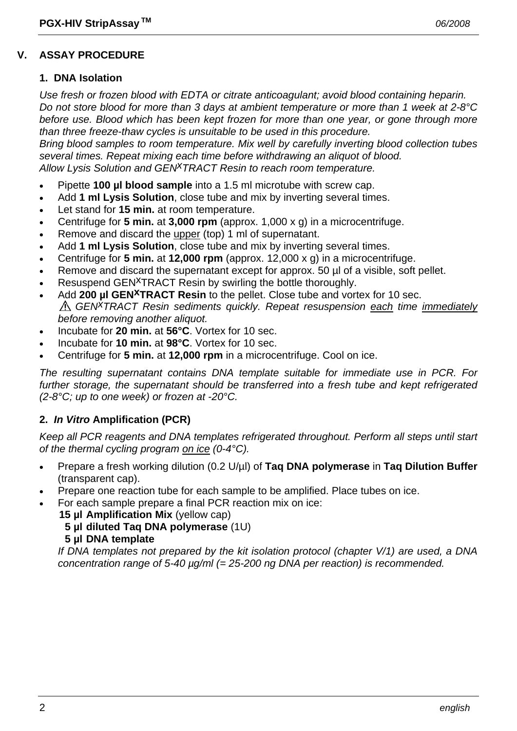## **V. ASSAY PROCEDURE**

#### **1. DNA Isolation**

*Use fresh or frozen blood with EDTA or citrate anticoagulant; avoid blood containing heparin. Do not store blood for more than 3 days at ambient temperature or more than 1 week at 2-8°C before use. Blood which has been kept frozen for more than one year, or gone through more than three freeze-thaw cycles is unsuitable to be used in this procedure.* 

*Bring blood samples to room temperature. Mix well by carefully inverting blood collection tubes several times. Repeat mixing each time before withdrawing an aliquot of blood. Allow Lysis Solution and GENxTRACT Resin to reach room temperature.*

- Pipette **100 µl blood sample** into a 1.5 ml microtube with screw cap.
- Add **1 ml Lysis Solution**, close tube and mix by inverting several times.
- Let stand for **15 min.** at room temperature.
- Centrifuge for **5 min.** at **3,000 rpm** (approx. 1,000 x g) in a microcentrifuge.
- Remove and discard the upper (top) 1 ml of supernatant.
- Add **1 ml Lysis Solution**, close tube and mix by inverting several times.
- Centrifuge for **5 min.** at **12,000 rpm** (approx. 12,000 x g) in a microcentrifuge.
- Remove and discard the supernatant except for approx. 50 µl of a visible, soft pellet.
- Resuspend GEN<sup>X</sup>TRACT Resin by swirling the bottle thoroughly.
- Add **200 µl GEN<sup>X</sup>TRACT Resin** to the pellet. Close tube and vortex for 10 sec. *GENxTRACT Resin sediments quickly. Repeat resuspension each time immediately before removing another aliquot.*
- Incubate for **20 min.** at **56°C**. Vortex for 10 sec.
- Incubate for **10 min.** at **98°C**. Vortex for 10 sec.
- Centrifuge for **5 min.** at **12,000 rpm** in a microcentrifuge. Cool on ice.

*The resulting supernatant contains DNA template suitable for immediate use in PCR. For further storage, the supernatant should be transferred into a fresh tube and kept refrigerated (2-8°C; up to one week) or frozen at -20°C.* 

#### **2.** *In Vitro* **Amplification (PCR)**

*Keep all PCR reagents and DNA templates refrigerated throughout. Perform all steps until start of the thermal cycling program on ice (0-4°C).* 

- Prepare a fresh working dilution (0.2 U/µl) of **Taq DNA polymerase** in **Taq Dilution Buffer** (transparent cap).
- Prepare one reaction tube for each sample to be amplified. Place tubes on ice.
- For each sample prepare a final PCR reaction mix on ice:
	- **15 µl Amplification Mix** (yellow cap)
		- **5 µl diluted Taq DNA polymerase** (1U)
		- **5 µl DNA template**

 *If DNA templates not prepared by the kit isolation protocol (chapter V/1) are used, a DNA concentration range of 5-40 µg/ml (= 25-200 ng DNA per reaction) is recommended.*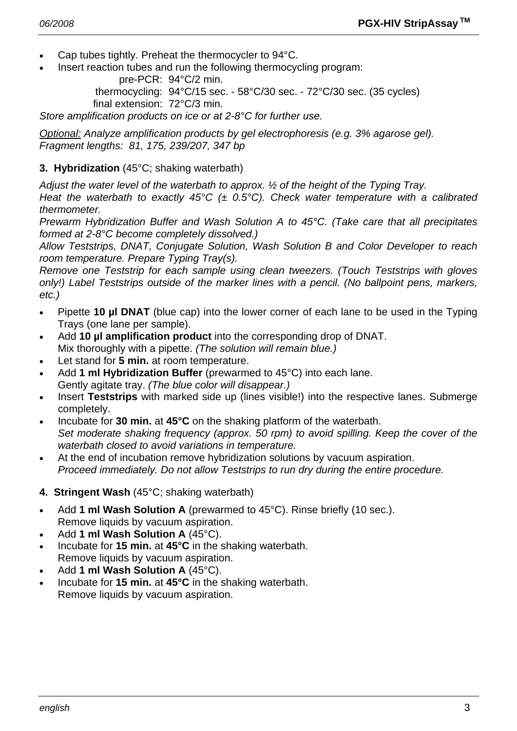- Cap tubes tightly. Preheat the thermocycler to 94°C.
- Insert reaction tubes and run the following thermocycling program:

pre-PCR: 94°C/2 min.

 thermocycling: 94°C/15 sec. - 58°C/30 sec. - 72°C/30 sec. (35 cycles) final extension: 72°C/3 min.

*Store amplification products on ice or at 2-8°C for further use.* 

*Optional: Analyze amplification products by gel electrophoresis (e.g. 3% agarose gel). Fragment lengths: 81, 175, 239/207, 347 bp* 

# **3. Hybridization** (45°C; shaking waterbath)

*Adjust the water level of the waterbath to approx. ½ of the height of the Typing Tray.* 

*Heat the waterbath to exactly 45°C (± 0.5°C). Check water temperature with a calibrated thermometer.* 

*Prewarm Hybridization Buffer and Wash Solution A to 45°C. (Take care that all precipitates formed at 2-8°C become completely dissolved.)* 

*Allow Teststrips, DNAT, Conjugate Solution, Wash Solution B and Color Developer to reach room temperature. Prepare Typing Tray(s).* 

*Remove one Teststrip for each sample using clean tweezers. (Touch Teststrips with gloves only!) Label Teststrips outside of the marker lines with a pencil. (No ballpoint pens, markers, etc.)* 

- Pipette **10 µl DNAT** (blue cap) into the lower corner of each lane to be used in the Typing Trays (one lane per sample).
- Add **10 µl amplification product** into the corresponding drop of DNAT. Mix thoroughly with a pipette. *(The solution will remain blue.)*
- Let stand for **5 min.** at room temperature.
- Add **1 ml Hybridization Buffer** (prewarmed to 45°C) into each lane. Gently agitate tray. *(The blue color will disappear.)*
- Insert **Teststrips** with marked side up (lines visible!) into the respective lanes. Submerge completely.
- Incubate for **30 min.** at **45°C** on the shaking platform of the waterbath.  *Set moderate shaking frequency (approx. 50 rpm) to avoid spilling. Keep the cover of the waterbath closed to avoid variations in temperature.*
- At the end of incubation remove hybridization solutions by vacuum aspiration.  *Proceed immediately. Do not allow Teststrips to run dry during the entire procedure.*
- **4. Stringent Wash** (45°C; shaking waterbath)
- Add **1 ml Wash Solution A** (prewarmed to 45°C). Rinse briefly (10 sec.). Remove liquids by vacuum aspiration.
- Add **1 ml Wash Solution A** (45°C).
- Incubate for **15 min.** at **45°C** in the shaking waterbath. Remove liquids by vacuum aspiration.
- Add **1 ml Wash Solution A** (45°C).
- Incubate for **15 min.** at **45°C** in the shaking waterbath. Remove liquids by vacuum aspiration.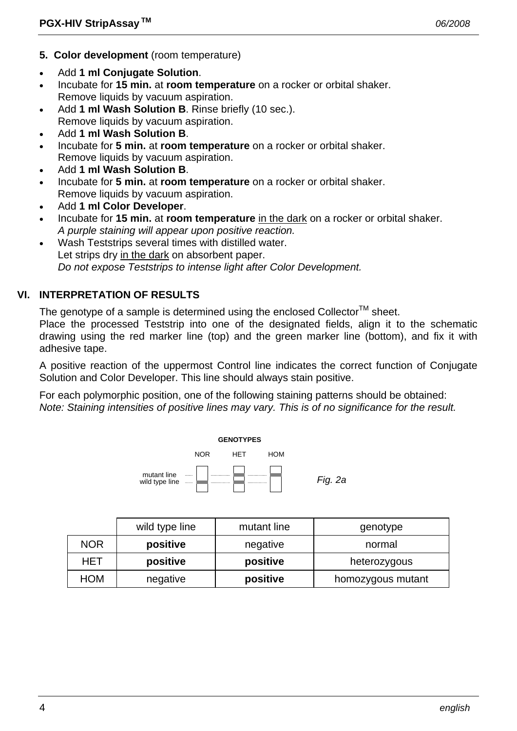- **5. Color development** (room temperature)
- Add **1 ml Conjugate Solution**.
- Incubate for **15 min.** at **room temperature** on a rocker or orbital shaker. Remove liquids by vacuum aspiration.
- Add 1 ml Wash Solution B. Rinse briefly (10 sec.). Remove liquids by vacuum aspiration.
- Add **1 ml Wash Solution B**.
- Incubate for **5 min.** at **room temperature** on a rocker or orbital shaker. Remove liquids by vacuum aspiration.
- Add **1 ml Wash Solution B**.
- Incubate for **5 min.** at **room temperature** on a rocker or orbital shaker. Remove liquids by vacuum aspiration.
- Add **1 ml Color Developer**.
- Incubate for **15 min.** at **room temperature** in the dark on a rocker or orbital shaker.  *A purple staining will appear upon positive reaction.*
- Wash Teststrips several times with distilled water. Let strips dry in the dark on absorbent paper.  *Do not expose Teststrips to intense light after Color Development.*

# **VI. INTERPRETATION OF RESULTS**

The genotype of a sample is determined using the enclosed Collector<sup>TM</sup> sheet.

Place the processed Teststrip into one of the designated fields, align it to the schematic drawing using the red marker line (top) and the green marker line (bottom), and fix it with adhesive tape.

A positive reaction of the uppermost Control line indicates the correct function of Conjugate Solution and Color Developer. This line should always stain positive.

For each polymorphic position, one of the following staining patterns should be obtained: *Note: Staining intensities of positive lines may vary. This is of no significance for the result.* 



|            | wild type line | mutant line | genotype          |
|------------|----------------|-------------|-------------------|
| <b>NOR</b> | positive       | negative    | normal            |
| <b>HET</b> | positive       | positive    | heterozygous      |
| <b>HOM</b> | negative       | positive    | homozygous mutant |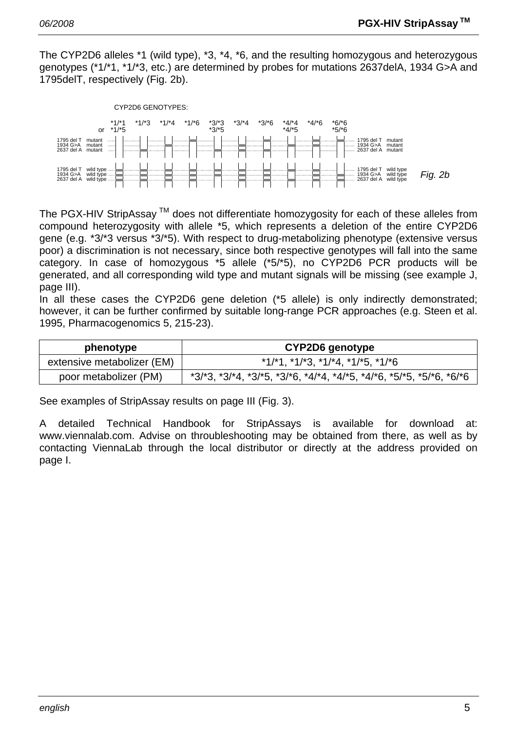The CYP2D6 alleles \*1 (wild type), \*3, \*4, \*6, and the resulting homozygous and heterozygous genotypes (\*1/\*1, \*1/\*3, etc.) are determined by probes for mutations 2637delA, 1934 G>A and 1795delT, respectively (Fig. 2b).



The PGX-HIV StripAssay  $TM$  does not differentiate homozygosity for each of these alleles from compound heterozygosity with allele \*5, which represents a deletion of the entire CYP2D6 gene (e.g. \*3/\*3 versus \*3/\*5). With respect to drug-metabolizing phenotype (extensive versus poor) a discrimination is not necessary, since both respective genotypes will fall into the same category. In case of homozygous \*5 allele (\*5/\*5), no CYP2D6 PCR products will be generated, and all corresponding wild type and mutant signals will be missing (see example J, page III).

In all these cases the CYP2D6 gene deletion (\*5 allele) is only indirectly demonstrated; however, it can be further confirmed by suitable long-range PCR approaches (e.g. Steen et al. 1995, Pharmacogenomics 5, 215-23).

| phenotype                  | CYP2D6 genotype                                                                         |  |
|----------------------------|-----------------------------------------------------------------------------------------|--|
| extensive metabolizer (EM) | $*1/*1$ , $*1/*3$ , $*1/*4$ , $*1/*5$ , $*1/*6$                                         |  |
| poor metabolizer (PM)      | $*3/3$ , $*3/4$ , $*3/5$ , $*3/6$ , $*4/4$ , $*4/5$ , $*4/6$ , $*5/5$ , $*5/6$ , $*6/6$ |  |

See examples of StripAssay results on page III (Fig. 3).

A detailed Technical Handbook for StripAssays is available for download at: www.viennalab.com. Advise on throubleshooting may be obtained from there, as well as by contacting ViennaLab through the local distributor or directly at the address provided on page I.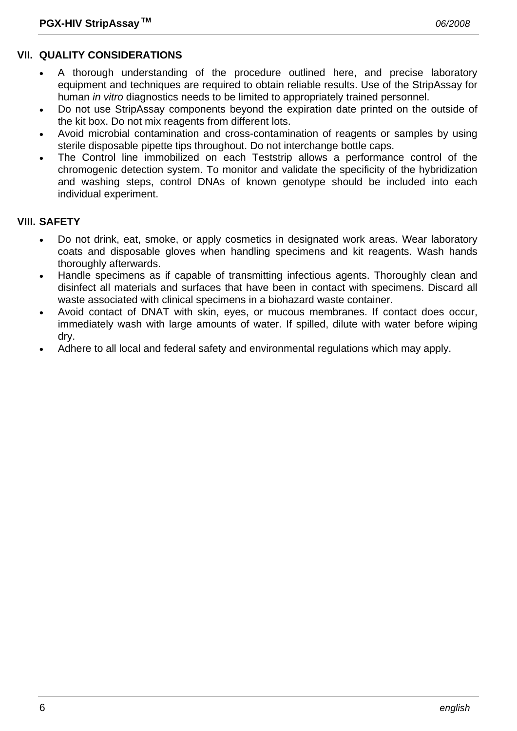# **VII. QUALITY CONSIDERATIONS**

- A thorough understanding of the procedure outlined here, and precise laboratory equipment and techniques are required to obtain reliable results. Use of the StripAssay for human *in vitro* diagnostics needs to be limited to appropriately trained personnel.
- Do not use StripAssay components beyond the expiration date printed on the outside of the kit box. Do not mix reagents from different lots.
- Avoid microbial contamination and cross-contamination of reagents or samples by using sterile disposable pipette tips throughout. Do not interchange bottle caps.
- The Control line immobilized on each Teststrip allows a performance control of the chromogenic detection system. To monitor and validate the specificity of the hybridization and washing steps, control DNAs of known genotype should be included into each individual experiment.

# **VIII. SAFETY**

- Do not drink, eat, smoke, or apply cosmetics in designated work areas. Wear laboratory coats and disposable gloves when handling specimens and kit reagents. Wash hands thoroughly afterwards.
- Handle specimens as if capable of transmitting infectious agents. Thoroughly clean and disinfect all materials and surfaces that have been in contact with specimens. Discard all waste associated with clinical specimens in a biohazard waste container.
- Avoid contact of DNAT with skin, eyes, or mucous membranes. If contact does occur, immediately wash with large amounts of water. If spilled, dilute with water before wiping dry.
- Adhere to all local and federal safety and environmental regulations which may apply.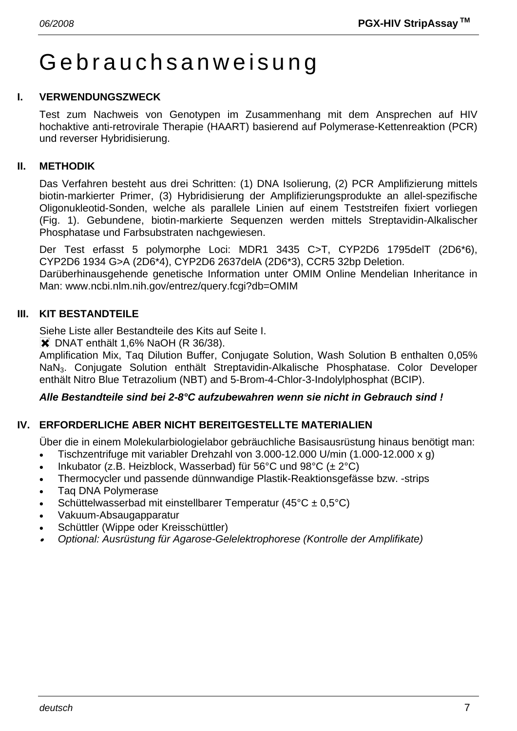# Gebrauchsanweisung

#### **I. VERWENDUNGSZWECK**

Test zum Nachweis von Genotypen im Zusammenhang mit dem Ansprechen auf HIV hochaktive anti-retrovirale Therapie (HAART) basierend auf Polymerase-Kettenreaktion (PCR) und reverser Hybridisierung.

#### **II. METHODIK**

Das Verfahren besteht aus drei Schritten: (1) DNA Isolierung, (2) PCR Amplifizierung mittels biotin-markierter Primer, (3) Hybridisierung der Amplifizierungsprodukte an allel-spezifische Oligonukleotid-Sonden, welche als parallele Linien auf einem Teststreifen fixiert vorliegen (Fig. 1). Gebundene, biotin-markierte Sequenzen werden mittels Streptavidin-Alkalischer Phosphatase und Farbsubstraten nachgewiesen.

Der Test erfasst 5 polymorphe Loci: MDR1 3435 C>T, CYP2D6 1795delT (2D6\*6), CYP2D6 1934 G>A (2D6\*4), CYP2D6 2637delA (2D6\*3), CCR5 32bp Deletion.

Darüberhinausgehende genetische Information unter OMIM Online Mendelian Inheritance in Man: www.ncbi.nlm.nih.gov/entrez/query.fcgi?db=OMIM

### **III. KIT BESTANDTEILE**

Siehe Liste aller Bestandteile des Kits auf Seite I.

**X** DNAT enthält 1,6% NaOH (R 36/38).

Amplification Mix, Taq Dilution Buffer, Conjugate Solution, Wash Solution B enthalten 0,05% NaN3. Conjugate Solution enthält Streptavidin-Alkalische Phosphatase. Color Developer enthält Nitro Blue Tetrazolium (NBT) and 5-Brom-4-Chlor-3-Indolylphosphat (BCIP).

#### *Alle Bestandteile sind bei 2-8°C aufzubewahren wenn sie nicht in Gebrauch sind !*

# **IV. ERFORDERLICHE ABER NICHT BEREITGESTELLTE MATERIALIEN**

Über die in einem Molekularbiologielabor gebräuchliche Basisausrüstung hinaus benötigt man:

- Tischzentrifuge mit variabler Drehzahl von 3.000-12.000 U/min (1.000-12.000 x g)
- Inkubator (z.B. Heizblock, Wasserbad) für 56°C und 98°C ( $\pm$  2°C)
- Thermocycler und passende dünnwandige Plastik-Reaktionsgefässe bzw. -strips
- Taq DNA Polymerase
- Schüttelwasserbad mit einstellbarer Temperatur (45°C ± 0,5°C)
- Vakuum-Absaugapparatur
- Schüttler (Wippe oder Kreisschüttler)
- • *Optional: Ausrüstung für Agarose-Gelelektrophorese (Kontrolle der Amplifikate)*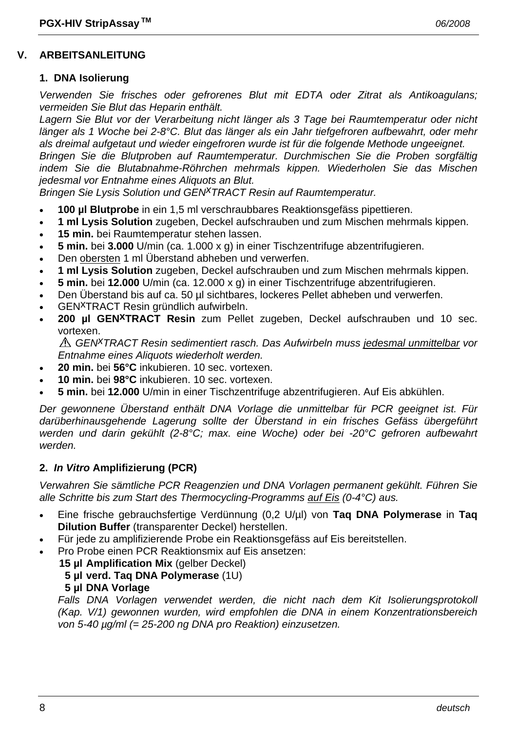# **V. ARBEITSANLEITUNG**

# **1. DNA Isolierung**

*Verwenden Sie frisches oder gefrorenes Blut mit EDTA oder Zitrat als Antikoagulans; vermeiden Sie Blut das Heparin enthält.* 

*Lagern Sie Blut vor der Verarbeitung nicht länger als 3 Tage bei Raumtemperatur oder nicht länger als 1 Woche bei 2-8°C. Blut das länger als ein Jahr tiefgefroren aufbewahrt, oder mehr als dreimal aufgetaut und wieder eingefroren wurde ist für die folgende Methode ungeeignet. Bringen Sie die Blutproben auf Raumtemperatur. Durchmischen Sie die Proben sorgfältig* 

*indem Sie die Blutabnahme-Röhrchen mehrmals kippen. Wiederholen Sie das Mischen jedesmal vor Entnahme eines Aliquots an Blut.* 

*Bringen Sie Lysis Solution und GEN<sup>X</sup>TRACT Resin auf Raumtemperatur.* 

- **100 µl Blutprobe** in ein 1,5 ml verschraubbares Reaktionsgefäss pipettieren.
- **1 ml Lysis Solution** zugeben, Deckel aufschrauben und zum Mischen mehrmals kippen.
- **15 min.** bei Raumtemperatur stehen lassen.
- **5 min.** bei **3.000** U/min (ca. 1.000 x g) in einer Tischzentrifuge abzentrifugieren.
- Den obersten 1 ml Überstand abheben und verwerfen.
- **1 ml Lysis Solution** zugeben, Deckel aufschrauben und zum Mischen mehrmals kippen.
- **5 min.** bei **12.000** U/min (ca. 12.000 x g) in einer Tischzentrifuge abzentrifugieren.
- Den Überstand bis auf ca. 50 µl sichtbares, lockeres Pellet abheben und verwerfen.
- GENxTRACT Resin gründlich aufwirbeln.
- 200 µl GEN<sup>X</sup>TRACT Resin zum Pellet zugeben, Deckel aufschrauben und 10 sec. vortexen.

*GENxTRACT Resin sedimentiert rasch. Das Aufwirbeln muss jedesmal unmittelbar vor Entnahme eines Aliquots wiederholt werden.* 

- **20 min.** bei **56°C** inkubieren. 10 sec. vortexen.
- **10 min.** bei **98°C** inkubieren. 10 sec. vortexen.
- **5 min.** bei **12.000** U/min in einer Tischzentrifuge abzentrifugieren. Auf Eis abkühlen.

*Der gewonnene Überstand enthält DNA Vorlage die unmittelbar für PCR geeignet ist. Für darüberhinausgehende Lagerung sollte der Überstand in ein frisches Gefäss übergeführt werden und darin gekühlt (2-8°C; max. eine Woche) oder bei -20°C gefroren aufbewahrt werden.* 

# **2.** *In Vitro* **Amplifizierung (PCR)**

*Verwahren Sie sämtliche PCR Reagenzien und DNA Vorlagen permanent gekühlt. Führen Sie alle Schritte bis zum Start des Thermocycling-Programms auf Eis (0-4°C) aus.* 

- Eine frische gebrauchsfertige Verdünnung (0,2 U/µl) von **Taq DNA Polymerase** in **Taq Dilution Buffer** (transparenter Deckel) herstellen.
- Für jede zu amplifizierende Probe ein Reaktionsgefäss auf Eis bereitstellen.
- Pro Probe einen PCR Reaktionsmix auf Eis ansetzen:
	- **15 µl Amplification Mix** (gelber Deckel)

# **5 µl verd. Taq DNA Polymerase** (1U)

**5 µl DNA Vorlage**

Falls DNA Vorlagen verwendet werden, die nicht nach dem Kit Isolierungsprotokoll *(Kap. V/1) gewonnen wurden, wird empfohlen die DNA in einem Konzentrationsbereich von 5-40 µg/ml (= 25-200 ng DNA pro Reaktion) einzusetzen.*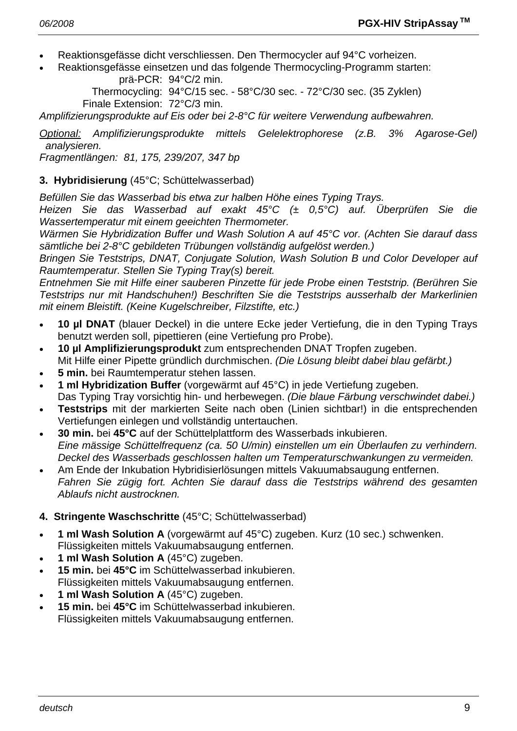- Reaktionsgefässe dicht verschliessen. Den Thermocycler auf 94°C vorheizen.
- Reaktionsgefässe einsetzen und das folgende Thermocycling-Programm starten: prä-PCR: 94°C/2 min.

 Thermocycling: 94°C/15 sec. - 58°C/30 sec. - 72°C/30 sec. (35 Zyklen) Finale Extension: 72°C/3 min.

*Amplifizierungsprodukte auf Eis oder bei 2-8°C für weitere Verwendung aufbewahren.* 

*Optional: Amplifizierungsprodukte mittels Gelelektrophorese (z.B. 3% Agarose-Gel) analysieren.* 

*Fragmentlängen: 81, 175, 239/207, 347 bp* 

# **3. Hybridisierung** (45°C; Schüttelwasserbad)

*Befüllen Sie das Wasserbad bis etwa zur halben Höhe eines Typing Trays.* 

*Heizen Sie das Wasserbad auf exakt 45°C (± 0,5°C) auf. Überprüfen Sie die Wassertemperatur mit einem geeichten Thermometer.* 

*Wärmen Sie Hybridization Buffer und Wash Solution A auf 45°C vor. (Achten Sie darauf dass sämtliche bei 2-8°C gebildeten Trübungen vollständig aufgelöst werden.)* 

*Bringen Sie Teststrips, DNAT, Conjugate Solution, Wash Solution B und Color Developer auf Raumtemperatur. Stellen Sie Typing Tray(s) bereit.* 

*Entnehmen Sie mit Hilfe einer sauberen Pinzette für jede Probe einen Teststrip. (Berühren Sie Teststrips nur mit Handschuhen!) Beschriften Sie die Teststrips ausserhalb der Markerlinien mit einem Bleistift. (Keine Kugelschreiber, Filzstifte, etc.)* 

- **10 µl DNAT** (blauer Deckel) in die untere Ecke jeder Vertiefung, die in den Typing Trays benutzt werden soll, pipettieren (eine Vertiefung pro Probe).
- **10 µl Amplifizierungsprodukt** zum entsprechenden DNAT Tropfen zugeben. Mit Hilfe einer Pipette gründlich durchmischen. *(Die Lösung bleibt dabei blau gefärbt.)*
- **5 min.** bei Raumtemperatur stehen lassen.
- **1 ml Hybridization Buffer** (vorgewärmt auf 45°C) in jede Vertiefung zugeben. Das Typing Tray vorsichtig hin- und herbewegen. *(Die blaue Färbung verschwindet dabei.)*
- **Teststrips** mit der markierten Seite nach oben (Linien sichtbar!) in die entsprechenden Vertiefungen einlegen und vollständig untertauchen.
- **30 min.** bei **45°C** auf der Schüttelplattform des Wasserbads inkubieren.  *Eine mässige Schüttelfrequenz (ca. 50 U/min) einstellen um ein Überlaufen zu verhindern. Deckel des Wasserbads geschlossen halten um Temperaturschwankungen zu vermeiden.*
- Am Ende der Inkubation Hybridisierlösungen mittels Vakuumabsaugung entfernen.  *Fahren Sie zügig fort. Achten Sie darauf dass die Teststrips während des gesamten Ablaufs nicht austrocknen.*

# **4. Stringente Waschschritte** (45°C; Schüttelwasserbad)

- **1 ml Wash Solution A** (vorgewärmt auf 45°C) zugeben. Kurz (10 sec.) schwenken. Flüssigkeiten mittels Vakuumabsaugung entfernen.
- **1 ml Wash Solution A** (45°C) zugeben.
- **15 min.** bei **45°C** im Schüttelwasserbad inkubieren. Flüssigkeiten mittels Vakuumabsaugung entfernen.
- **1 ml Wash Solution A** (45°C) zugeben.
- **15 min.** bei **45°C** im Schüttelwasserbad inkubieren. Flüssigkeiten mittels Vakuumabsaugung entfernen.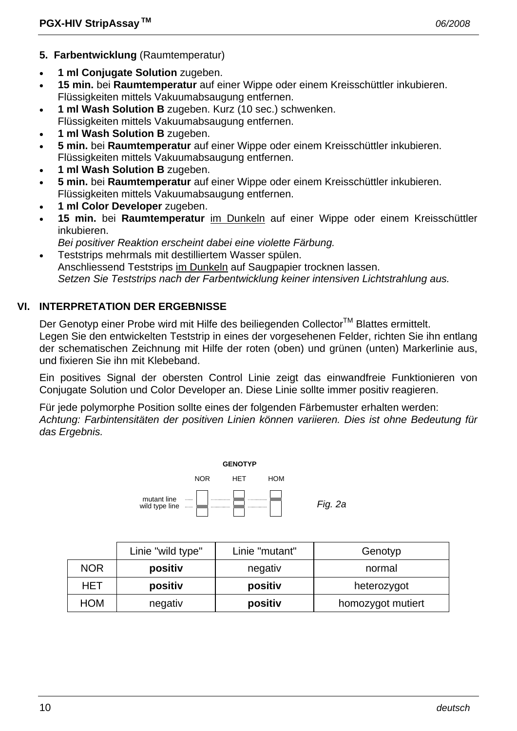- **5. Farbentwicklung** (Raumtemperatur)
- **1 ml Conjugate Solution** zugeben.
- **15 min.** bei **Raumtemperatur** auf einer Wippe oder einem Kreisschüttler inkubieren. Flüssigkeiten mittels Vakuumabsaugung entfernen.
- **1 ml Wash Solution B** zugeben. Kurz (10 sec.) schwenken. Flüssigkeiten mittels Vakuumabsaugung entfernen.
- 
- **1 ml Wash Solution B** zugeben.
- **5 min.** bei **Raumtemperatur** auf einer Wippe oder einem Kreisschüttler inkubieren. Flüssigkeiten mittels Vakuumabsaugung entfernen.
- **1 ml Wash Solution B** zugeben.
- **5 min.** bei **Raumtemperatur** auf einer Wippe oder einem Kreisschüttler inkubieren. Flüssigkeiten mittels Vakuumabsaugung entfernen.
- **1 ml Color Developer** zugeben.
- **15 min.** bei **Raumtemperatur** im Dunkeln auf einer Wippe oder einem Kreisschüttler inkubieren.
	- *Bei positiver Reaktion erscheint dabei eine violette Färbung.*
- Teststrips mehrmals mit destilliertem Wasser spülen. Anschliessend Teststrips im Dunkeln auf Saugpapier trocknen lassen.  *Setzen Sie Teststrips nach der Farbentwicklung keiner intensiven Lichtstrahlung aus.*

# **VI. INTERPRETATION DER ERGEBNISSE**

Der Genotyp einer Probe wird mit Hilfe des beiliegenden Collector™ Blattes ermittelt. Legen Sie den entwickelten Teststrip in eines der vorgesehenen Felder, richten Sie ihn entlang der schematischen Zeichnung mit Hilfe der roten (oben) und grünen (unten) Markerlinie aus, und fixieren Sie ihn mit Klebeband.

Ein positives Signal der obersten Control Linie zeigt das einwandfreie Funktionieren von Conjugate Solution und Color Developer an. Diese Linie sollte immer positiv reagieren.

Für jede polymorphe Position sollte eines der folgenden Färbemuster erhalten werden: *Achtung: Farbintensitäten der positiven Linien können variieren. Dies ist ohne Bedeutung für das Ergebnis.* 



|            | Linie "wild type" | Linie "mutant" | Genotyp           |
|------------|-------------------|----------------|-------------------|
| <b>NOR</b> | positiv           | negativ        | normal            |
| HET        | positiv           | positiv        | heterozygot       |
| HOM        | negativ           | positiv        | homozygot mutiert |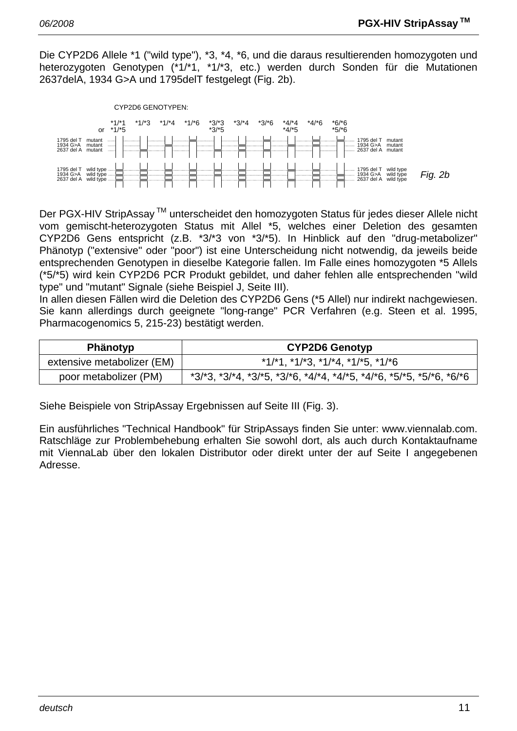Die CYP2D6 Allele \*1 ("wild type"), \*3, \*4, \*6, und die daraus resultierenden homozygoten und heterozygoten Genotypen (\*1/\*1, \*1/\*3, etc.) werden durch Sonden für die Mutationen 2637delA, 1934 G>A und 1795delT festgelegt (Fig. 2b).



Der PGX-HIV StripAssay<sup>™</sup> unterscheidet den homozygoten Status für jedes dieser Allele nicht vom gemischt-heterozygoten Status mit Allel \*5, welches einer Deletion des gesamten CYP2D6 Gens entspricht (z.B. \*3/\*3 von \*3/\*5). In Hinblick auf den "drug-metabolizer" Phänotyp ("extensive" oder "poor") ist eine Unterscheidung nicht notwendig, da jeweils beide entsprechenden Genotypen in dieselbe Kategorie fallen. Im Falle eines homozygoten \*5 Allels (\*5/\*5) wird kein CYP2D6 PCR Produkt gebildet, und daher fehlen alle entsprechenden "wild type" und "mutant" Signale (siehe Beispiel J, Seite III).

In allen diesen Fällen wird die Deletion des CYP2D6 Gens (\*5 Allel) nur indirekt nachgewiesen. Sie kann allerdings durch geeignete "long-range" PCR Verfahren (e.g. Steen et al. 1995, Pharmacogenomics 5, 215-23) bestätigt werden.

| <b>Phänotyp</b>            | <b>CYP2D6 Genotyp</b>                                                                   |  |
|----------------------------|-----------------------------------------------------------------------------------------|--|
| extensive metabolizer (EM) | $*1/*1$ , $*1/*3$ , $*1/*4$ , $*1/*5$ , $*1/*6$                                         |  |
| poor metabolizer (PM)      | $*3/3$ , $*3/4$ , $*3/5$ , $*3/6$ , $*4/4$ , $*4/5$ , $*4/6$ , $*5/5$ , $*5/6$ , $*6/6$ |  |

Siehe Beispiele von StripAssay Ergebnissen auf Seite III (Fig. 3).

Ein ausführliches "Technical Handbook" für StripAssays finden Sie unter: www.viennalab.com. Ratschläge zur Problembehebung erhalten Sie sowohl dort, als auch durch Kontaktaufname mit ViennaLab über den lokalen Distributor oder direkt unter der auf Seite I angegebenen Adresse.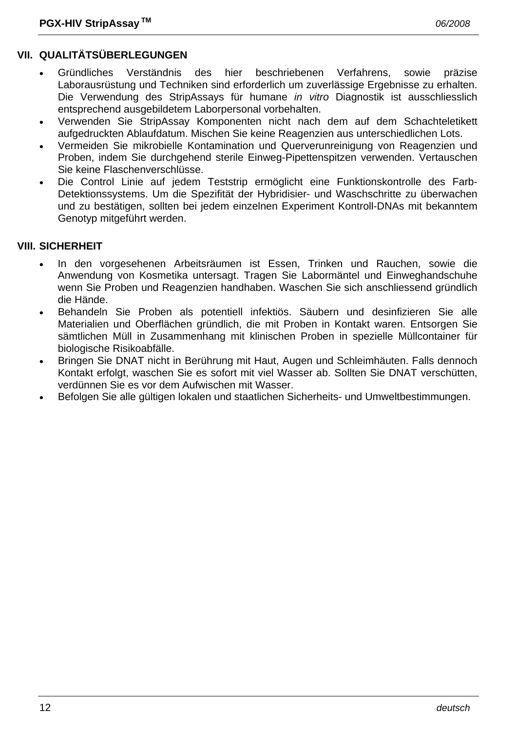# **VII. QUALITÄTSÜBERLEGUNGEN**

- Gründliches Verständnis des hier beschriebenen Verfahrens, sowie präzise Laborausrüstung und Techniken sind erforderlich um zuverlässige Ergebnisse zu erhalten. Die Verwendung des StripAssays für humane *in vitro* Diagnostik ist ausschliesslich entsprechend ausgebildetem Laborpersonal vorbehalten.
- Verwenden Sie StripAssay Komponenten nicht nach dem auf dem Schachteletikett aufgedruckten Ablaufdatum. Mischen Sie keine Reagenzien aus unterschiedlichen Lots.
- Vermeiden Sie mikrobielle Kontamination und Querverunreinigung von Reagenzien und Proben, indem Sie durchgehend sterile Einweg-Pipettenspitzen verwenden. Vertauschen Sie keine Flaschenverschlüsse.
- Die Control Linie auf jedem Teststrip ermöglicht eine Funktionskontrolle des Farb-Detektionssystems. Um die Spezifität der Hybridisier- und Waschschritte zu überwachen und zu bestätigen, sollten bei jedem einzelnen Experiment Kontroll-DNAs mit bekanntem Genotyp mitgeführt werden.

### **VIII. SICHERHEIT**

- In den vorgesehenen Arbeitsräumen ist Essen, Trinken und Rauchen, sowie die Anwendung von Kosmetika untersagt. Tragen Sie Labormäntel und Einweghandschuhe wenn Sie Proben und Reagenzien handhaben. Waschen Sie sich anschliessend gründlich die Hände.
- Behandeln Sie Proben als potentiell infektiös. Säubern und desinfizieren Sie alle Materialien und Oberflächen gründlich, die mit Proben in Kontakt waren. Entsorgen Sie sämtlichen Müll in Zusammenhang mit klinischen Proben in spezielle Müllcontainer für biologische Risikoabfälle.
- Bringen Sie DNAT nicht in Berührung mit Haut, Augen und Schleimhäuten. Falls dennoch Kontakt erfolgt, waschen Sie es sofort mit viel Wasser ab. Sollten Sie DNAT verschütten, verdünnen Sie es vor dem Aufwischen mit Wasser.
- Befolgen Sie alle gültigen lokalen und staatlichen Sicherheits- und Umweltbestimmungen.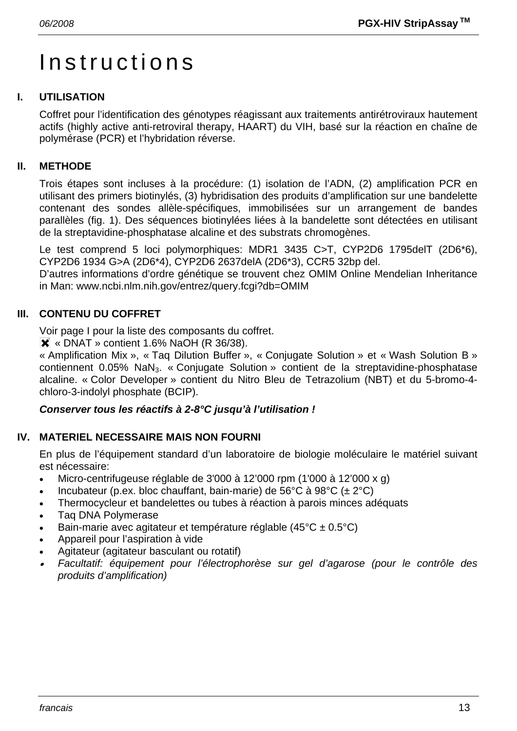# Instructions

# **I. UTILISATION**

Coffret pour l'identification des génotypes réagissant aux traitements antirétroviraux hautement actifs (highly active anti-retroviral therapy, HAART) du VIH, basé sur la réaction en chaîne de polymérase (PCR) et l'hybridation réverse.

# **II. METHODE**

Trois étapes sont incluses à la procédure: (1) isolation de l'ADN, (2) amplification PCR en utilisant des primers biotinylés, (3) hybridisation des produits d'amplification sur une bandelette contenant des sondes allèle-spécifiques, immobilisées sur un arrangement de bandes parallèles (fig. 1). Des séquences biotinylées liées à la bandelette sont détectées en utilisant de la streptavidine-phosphatase alcaline et des substrats chromogènes.

Le test comprend 5 loci polymorphiques: MDR1 3435 C>T, CYP2D6 1795delT (2D6\*6), CYP2D6 1934 G>A (2D6\*4), CYP2D6 2637delA (2D6\*3), CCR5 32bp del.

D'autres informations d'ordre génétique se trouvent chez OMIM Online Mendelian Inheritance in Man: www.ncbi.nlm.nih.gov/entrez/query.fcgi?db=OMIM

# **III. CONTENU DU COFFRET**

Voir page I pour la liste des composants du coffret.

 $\overline{\mathsf{X}}$  « DNAT » contient 1.6% NaOH (R 36/38).

« Amplification Mix », « Taq Dilution Buffer », « Conjugate Solution » et « Wash Solution B » contiennent 0.05% NaN<sub>3</sub>. « Conjugate Solution » contient de la streptavidine-phosphatase alcaline. « Color Developer » contient du Nitro Bleu de Tetrazolium (NBT) et du 5-bromo-4 chloro-3-indolyl phosphate (BCIP).

# *Conserver tous les réactifs à 2-8°C jusqu'à l'utilisation !*

# **IV. MATERIEL NECESSAIRE MAIS NON FOURNI**

En plus de l'équipement standard d'un laboratoire de biologie moléculaire le matériel suivant est nécessaire:

- Micro-centrifugeuse réglable de 3'000 à 12'000 rpm (1'000 à 12'000 x g)
- Incubateur (p.ex. bloc chauffant, bain-marie) de 56°C à 98°C ( $\pm 2$ °C)
- Thermocycleur et bandelettes ou tubes à réaction à parois minces adéquats
- Taq DNA Polymerase
- Bain-marie avec agitateur et température réglable (45°C ± 0.5°C)
- Appareil pour l'aspiration à vide
- Agitateur (agitateur basculant ou rotatif)
- • *Facultatif: équipement pour l'électrophorèse sur gel d'agarose (pour le contrôle des produits d'amplification)*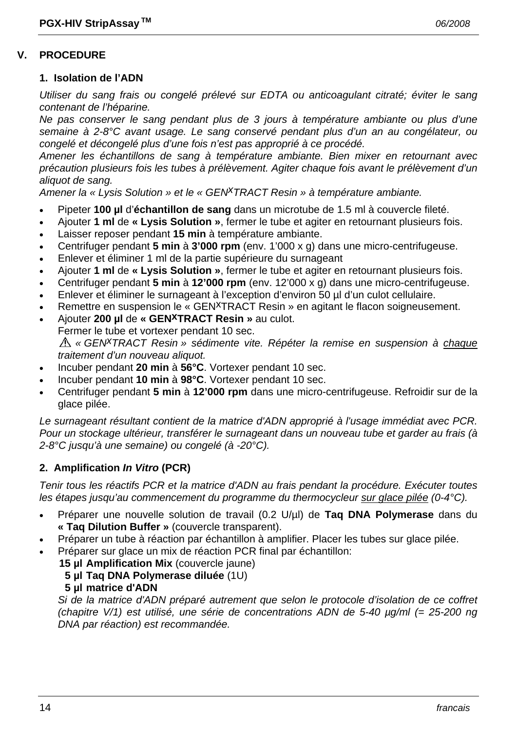#### **V. PROCEDURE**

#### **1. Isolation de l'ADN**

*Utiliser du sang frais ou congelé prélevé sur EDTA ou anticoagulant citraté; éviter le sang contenant de l'héparine.* 

*Ne pas conserver le sang pendant plus de 3 jours à température ambiante ou plus d'une semaine à 2-8°C avant usage. Le sang conservé pendant plus d'un an au congélateur, ou congelé et décongelé plus d'une fois n'est pas approprié à ce procédé.* 

*Amener les échantillons de sang à température ambiante. Bien mixer en retournant avec précaution plusieurs fois les tubes à prélèvement. Agiter chaque fois avant le prélèvement d'un aliquot de sang.* 

*Amener la « Lysis Solution » et le « GENxTRACT Resin » à température ambiante.*

- Pipeter **100 µl** d'**échantillon de sang** dans un microtube de 1.5 ml à couvercle fileté.
- Ajouter **1 ml** de **« Lysis Solution »**, fermer le tube et agiter en retournant plusieurs fois.
- Laisser reposer pendant **15 min** à température ambiante.
- Centrifuger pendant **5 min** à **3'000 rpm** (env. 1'000 x g) dans une micro-centrifugeuse.
- Enlever et éliminer 1 ml de la partie supérieure du surnageant
- Ajouter **1 ml** de **« Lysis Solution »**, fermer le tube et agiter en retournant plusieurs fois.
- Centrifuger pendant **5 min** à **12'000 rpm** (env. 12'000 x g) dans une micro-centrifugeuse.
- Enlever et éliminer le surnageant à l'exception d'environ 50 µl d'un culot cellulaire.
- Remettre en suspension le « GEN<sup>X</sup>TRACT Resin » en agitant le flacon soigneusement.
- Ajouter **200 µl** de **« GENxTRACT Resin »** au culot.
- Fermer le tube et vortexer pendant 10 sec.

*« GENxTRACT Resin » sédimente vite. Répéter la remise en suspension à chaque traitement d'un nouveau aliquot.* 

- Incuber pendant **20 min** à **56°C**. Vortexer pendant 10 sec.
- Incuber pendant **10 min** à **98°C**. Vortexer pendant 10 sec.
- Centrifuger pendant **5 min** à **12'000 rpm** dans une micro-centrifugeuse. Refroidir sur de la glace pilée.

*Le surnageant résultant contient de la matrice d'ADN approprié à l'usage immédiat avec PCR. Pour un stockage ultérieur, transférer le surnageant dans un nouveau tube et garder au frais (à 2-8°C jusqu'à une semaine) ou congelé (à -20°C).* 

#### **2. Amplification** *In Vitro* **(PCR)**

*Tenir tous les réactifs PCR et la matrice d'ADN au frais pendant la procédure. Exécuter toutes les étapes jusqu'au commencement du programme du thermocycleur sur glace pilée (0-4°C).* 

- Préparer une nouvelle solution de travail (0.2 U/µl) de **Taq DNA Polymerase** dans du **« Taq Dilution Buffer »** (couvercle transparent).
- Préparer un tube à réaction par échantillon à amplifier. Placer les tubes sur glace pilée.
- Préparer sur glace un mix de réaction PCR final par échantillon:
	- **15 µl Amplification Mix** (couvercle jaune)
		- **5 µl Taq DNA Polymerase diluée** (1U)
		- **5 µl matrice d'ADN**

 *Si de la matrice d'ADN préparé autrement que selon le protocole d'isolation de ce coffret (chapitre V/1) est utilisé, une série de concentrations ADN de 5-40 µg/ml (= 25-200 ng DNA par réaction) est recommandée.*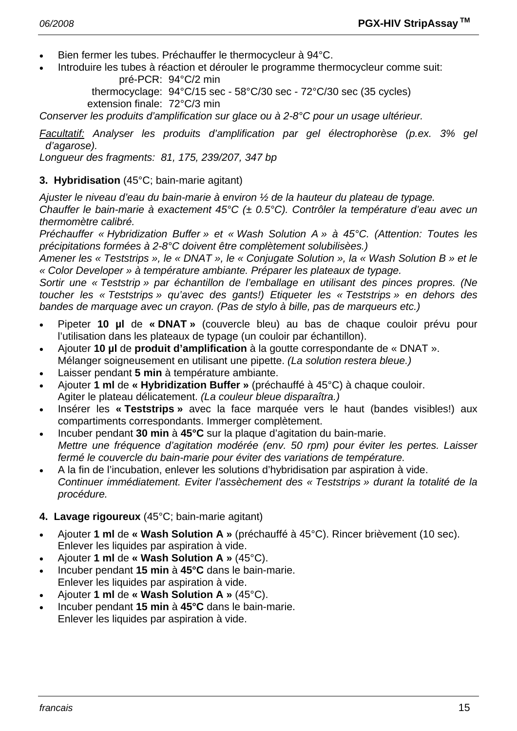- Bien fermer les tubes. Préchauffer le thermocycleur à 94°C.
- Introduire les tubes à réaction et dérouler le programme thermocycleur comme suit: pré-PCR: 94°C/2 min

 thermocyclage: 94°C/15 sec - 58°C/30 sec - 72°C/30 sec (35 cycles) extension finale: 72°C/3 min

*Conserver les produits d'amplification sur glace ou à 2-8°C pour un usage ultérieur.* 

*Facultatif: Analyser les produits d'amplification par gel électrophorèse (p.ex. 3% gel d'agarose).* 

*Longueur des fragments: 81, 175, 239/207, 347 bp* 

#### **3. Hybridisation** (45°C; bain-marie agitant)

*Ajuster le niveau d'eau du bain-marie à environ ½ de la hauteur du plateau de typage.* 

*Chauffer le bain-marie à exactement 45°C (± 0.5°C). Contrôler la température d'eau avec un thermomètre calibré.* 

*Préchauffer « Hybridization Buffer » et « Wash Solution A » à 45°C. (Attention: Toutes les précipitations formées à 2-8°C doivent être complètement solubilisèes.)* 

*Amener les « Teststrips », le « DNAT », le « Conjugate Solution », la « Wash Solution B » et le « Color Developer » à température ambiante. Préparer les plateaux de typage.* 

*Sortir une « Teststrip » par échantillon de l'emballage en utilisant des pinces propres. (Ne toucher les « Teststrips » qu'avec des gants!) Etiqueter les « Teststrips » en dehors des bandes de marquage avec un crayon. (Pas de stylo à bille, pas de marqueurs etc.)* 

- Pipeter **10 µl** de **« DNAT »** (couvercle bleu) au bas de chaque couloir prévu pour l'utilisation dans les plateaux de typage (un couloir par échantillon).
- Ajouter **10 µl** de **produit d'amplification** à la goutte correspondante de « DNAT ». Mélanger soigneusement en utilisant une pipette. *(La solution restera bleue.)*
- Laisser pendant **5 min** à température ambiante.
- Ajouter **1 ml** de **« Hybridization Buffer »** (préchauffé à 45°C) à chaque couloir. Agiter le plateau délicatement. *(La couleur bleue disparaîtra.)*
- Insérer les **« Teststrips »** avec la face marquée vers le haut (bandes visibles!) aux compartiments correspondants. Immerger complètement.
- Incuber pendant **30 min** à **45°C** sur la plaque d'agitation du bain-marie. *Mettre une fréquence d'agitation modérée (env. 50 rpm) pour éviter les pertes. Laisser fermé le couvercle du bain-marie pour éviter des variations de température.*
- A la fin de l'incubation, enlever les solutions d'hybridisation par aspiration à vide.  *Continuer immédiatement. Eviter l'assèchement des « Teststrips » durant la totalité de la procédure.*

#### **4. Lavage rigoureux** (45°C; bain-marie agitant)

- Ajouter **1 ml** de **« Wash Solution A »** (préchauffé à 45°C). Rincer brièvement (10 sec). Enlever les liquides par aspiration à vide.
- Ajouter **1 ml** de **« Wash Solution A »** (45°C).
- Incuber pendant **15 min** à **45°C** dans le bain-marie. Enlever les liquides par aspiration à vide.
- Ajouter **1 ml** de **« Wash Solution A »** (45°C).
- Incuber pendant **15 min** à **45°C** dans le bain-marie. Enlever les liquides par aspiration à vide.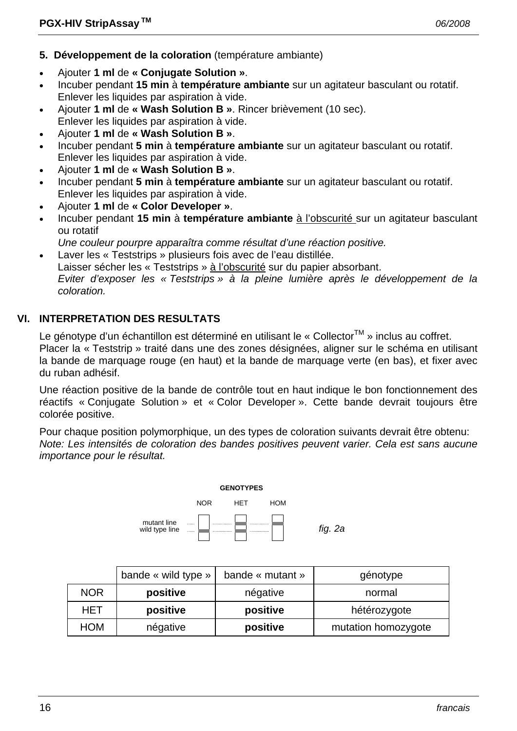- **5. Développement de la coloration** (température ambiante)
- Ajouter **1 ml** de **« Conjugate Solution »**.
- Incuber pendant **15 min** à **température ambiante** sur un agitateur basculant ou rotatif. Enlever les liquides par aspiration à vide.
- Ajouter **1 ml** de **« Wash Solution B »**. Rincer brièvement (10 sec). Enlever les liquides par aspiration à vide.
- Ajouter **1 ml** de **« Wash Solution B »**.
- Incuber pendant **5 min** à **température ambiante** sur un agitateur basculant ou rotatif. Enlever les liquides par aspiration à vide.
- Ajouter **1 ml** de **« Wash Solution B »**.
- Incuber pendant **5 min** à **température ambiante** sur un agitateur basculant ou rotatif. Enlever les liquides par aspiration à vide.
- Ajouter **1 ml** de **« Color Developer »**.
- Incuber pendant **15 min** à **température ambiante** à l'obscurité sur un agitateur basculant ou rotatif
- *Une couleur pourpre apparaîtra comme résultat d'une réaction positive.*
- Laver les « Teststrips » plusieurs fois avec de l'eau distillée. Laisser sécher les « Teststrips » à l'obscurité sur du papier absorbant.  *Eviter d'exposer les « Teststrips » à la pleine lumière après le développement de la coloration.*

#### **VI. INTERPRETATION DES RESULTATS**

Le génotype d'un échantillon est déterminé en utilisant le « Collector™ » inclus au coffret. Placer la « Teststrip » traité dans une des zones désignées, aligner sur le schéma en utilisant la bande de marquage rouge (en haut) et la bande de marquage verte (en bas), et fixer avec du ruban adhésif.

Une réaction positive de la bande de contrôle tout en haut indique le bon fonctionnement des réactifs « Conjugate Solution » et « Color Developer ». Cette bande devrait toujours être colorée positive.

Pour chaque position polymorphique, un des types de coloration suivants devrait être obtenu: *Note: Les intensités de coloration des bandes positives peuvent varier. Cela est sans aucune importance pour le résultat.* 



|            | bande « wild type » | bande « mutant » | génotype            |
|------------|---------------------|------------------|---------------------|
| <b>NOR</b> | positive            | négative         | normal              |
| HET        | positive            | positive         | hétérozygote        |
| <b>HOM</b> | négative            | positive         | mutation homozygote |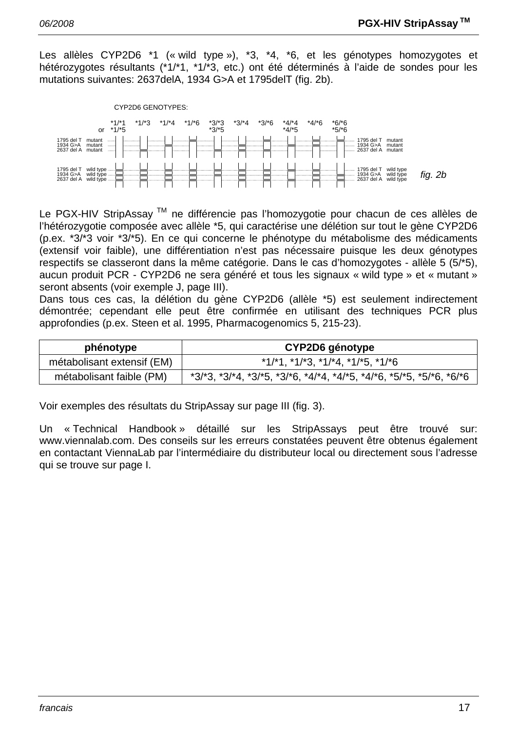Les allèles CYP2D6 \*1 (« wild type »), \*3, \*4, \*6, et les génotypes homozygotes et hétérozygotes résultants (\*1/\*1, \*1/\*3, etc.) ont été déterminés à l'aide de sondes pour les mutations suivantes: 2637delA, 1934 G>A et 1795delT (fig. 2b).



Le PGX-HIV StripAssay ™ ne différencie pas l'homozygotie pour chacun de ces allèles de l'hétérozygotie composée avec allèle \*5, qui caractérise une délétion sur tout le gène CYP2D6 (p.ex. \*3/\*3 voir \*3/\*5). En ce qui concerne le phénotype du métabolisme des médicaments (extensif voir faible), une différentiation n'est pas nécessaire puisque les deux génotypes respectifs se classeront dans la même catégorie. Dans le cas d'homozygotes - allèle 5 (5/\*5), aucun produit PCR - CYP2D6 ne sera généré et tous les signaux « wild type » et « mutant » seront absents (voir exemple J, page III).

Dans tous ces cas, la délétion du gène CYP2D6 (allèle \*5) est seulement indirectement démontrée; cependant elle peut être confirmée en utilisant des techniques PCR plus approfondies (p.ex. Steen et al. 1995, Pharmacogenomics 5, 215-23).

| phénotype                  | CYP2D6 génotype                                                                         |  |
|----------------------------|-----------------------------------------------------------------------------------------|--|
| métabolisant extensif (EM) | $*1/1$ , $*1/13$ , $*1/14$ , $*1/15$ , $*1/16$                                          |  |
| métabolisant faible (PM)   | $*3/3$ , $*3/4$ , $*3/5$ , $*3/5$ , $*4/4$ , $*4/5$ , $*4/6$ , $*5/5$ , $*5/6$ , $*6/6$ |  |

Voir exemples des résultats du StripAssay sur page III (fig. 3).

Un « Technical Handbook » détaillé sur les StripAssays peut être trouvé sur: www.viennalab.com. Des conseils sur les erreurs constatées peuvent être obtenus également en contactant ViennaLab par l'intermédiaire du distributeur local ou directement sous l'adresse qui se trouve sur page I.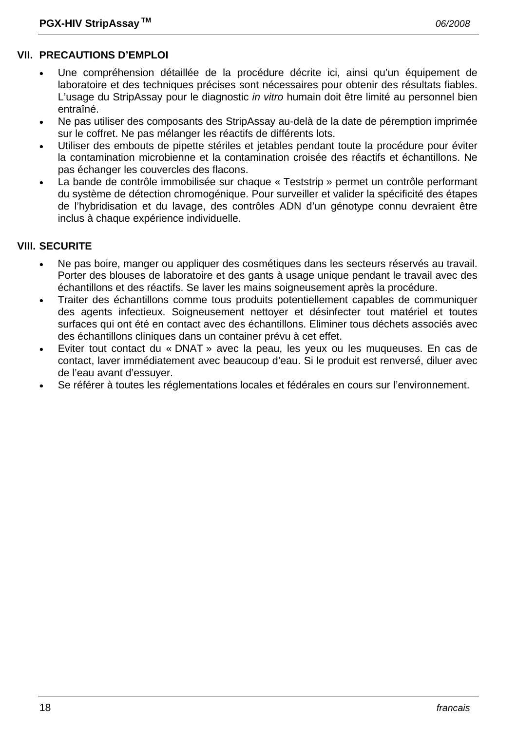#### **VII. PRECAUTIONS D'EMPLOI**

- Une compréhension détaillée de la procédure décrite ici, ainsi qu'un équipement de laboratoire et des techniques précises sont nécessaires pour obtenir des résultats fiables. L'usage du StripAssay pour le diagnostic *in vitro* humain doit être limité au personnel bien entraîné.
- Ne pas utiliser des composants des StripAssay au-delà de la date de péremption imprimée sur le coffret. Ne pas mélanger les réactifs de différents lots.
- Utiliser des embouts de pipette stériles et jetables pendant toute la procédure pour éviter la contamination microbienne et la contamination croisée des réactifs et échantillons. Ne pas échanger les couvercles des flacons.
- La bande de contrôle immobilisée sur chaque « Teststrip » permet un contrôle performant du système de détection chromogénique. Pour surveiller et valider la spécificité des étapes de l'hybridisation et du lavage, des contrôles ADN d'un génotype connu devraient être inclus à chaque expérience individuelle.

#### **VIII. SECURITE**

- Ne pas boire, manger ou appliquer des cosmétiques dans les secteurs réservés au travail. Porter des blouses de laboratoire et des gants à usage unique pendant le travail avec des échantillons et des réactifs. Se laver les mains soigneusement après la procédure.
- Traiter des échantillons comme tous produits potentiellement capables de communiquer des agents infectieux. Soigneusement nettoyer et désinfecter tout matériel et toutes surfaces qui ont été en contact avec des échantillons. Eliminer tous déchets associés avec des échantillons cliniques dans un container prévu à cet effet.
- Eviter tout contact du « DNAT » avec la peau, les yeux ou les muqueuses. En cas de contact, laver immédiatement avec beaucoup d'eau. Si le produit est renversé, diluer avec de l'eau avant d'essuyer.
- Se référer à toutes les réglementations locales et fédérales en cours sur l'environnement.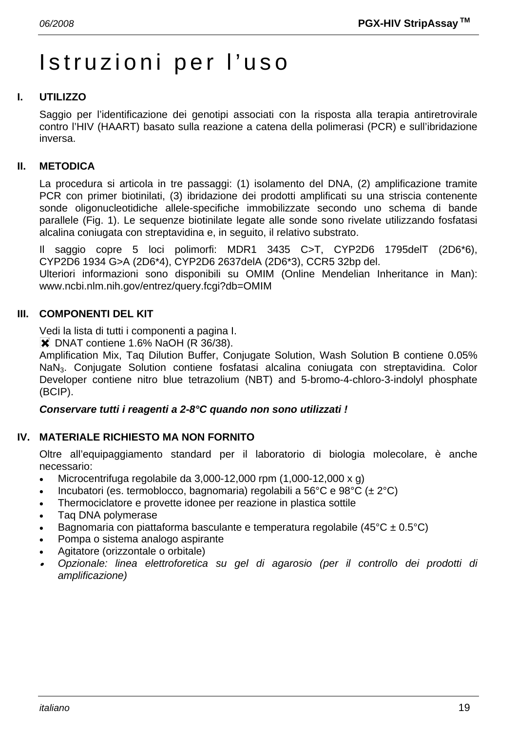# Istruzioni per l'uso

# **I. UTILIZZO**

Saggio per l'identificazione dei genotipi associati con la risposta alla terapia antiretrovirale contro l'HIV (HAART) basato sulla reazione a catena della polimerasi (PCR) e sull'ibridazione inversa.

### **II. METODICA**

La procedura si articola in tre passaggi: (1) isolamento del DNA, (2) amplificazione tramite PCR con primer biotinilati, (3) ibridazione dei prodotti amplificati su una striscia contenente sonde oligonucleotidiche allele-specifiche immobilizzate secondo uno schema di bande parallele (Fig. 1). Le sequenze biotinilate legate alle sonde sono rivelate utilizzando fosfatasi alcalina coniugata con streptavidina e, in seguito, il relativo substrato.

Il saggio copre 5 loci polimorfi: MDR1 3435 C>T, CYP2D6 1795delT (2D6\*6), CYP2D6 1934 G>A (2D6\*4), CYP2D6 2637delA (2D6\*3), CCR5 32bp del.

Ulteriori informazioni sono disponibili su OMIM (Online Mendelian Inheritance in Man): www.ncbi.nlm.nih.gov/entrez/query.fcgi?db=OMIM

### **III. COMPONENTI DEL KIT**

Vedi la lista di tutti i componenti a pagina I.

**X** DNAT contiene 1.6% NaOH (R 36/38).

Amplification Mix, Taq Dilution Buffer, Conjugate Solution, Wash Solution B contiene 0.05% NaN3. Conjugate Solution contiene fosfatasi alcalina coniugata con streptavidina. Color Developer contiene nitro blue tetrazolium (NBT) and 5-bromo-4-chloro-3-indolyl phosphate (BCIP).

#### *Conservare tutti i reagenti a 2-8°C quando non sono utilizzati !*

#### **IV. MATERIALE RICHIESTO MA NON FORNITO**

Oltre all'equipaggiamento standard per il laboratorio di biologia molecolare, è anche necessario:

- Microcentrifuga regolabile da  $3,000-12,000$  rpm  $(1,000-12,000 \times q)$
- Incubatori (es. termoblocco, bagnomaria) regolabili a 56°C e 98°C ( $\pm 2$ °C)
- Thermociclatore e provette idonee per reazione in plastica sottile
- Taq DNA polymerase
- Bagnomaria con piattaforma basculante e temperatura regolabile (45 $^{\circ}$ C ± 0.5 $^{\circ}$ C)
- Pompa o sistema analogo aspirante
- Agitatore (orizzontale o orbitale)
- • *Opzionale: linea elettroforetica su gel di agarosio (per il controllo dei prodotti di amplificazione)*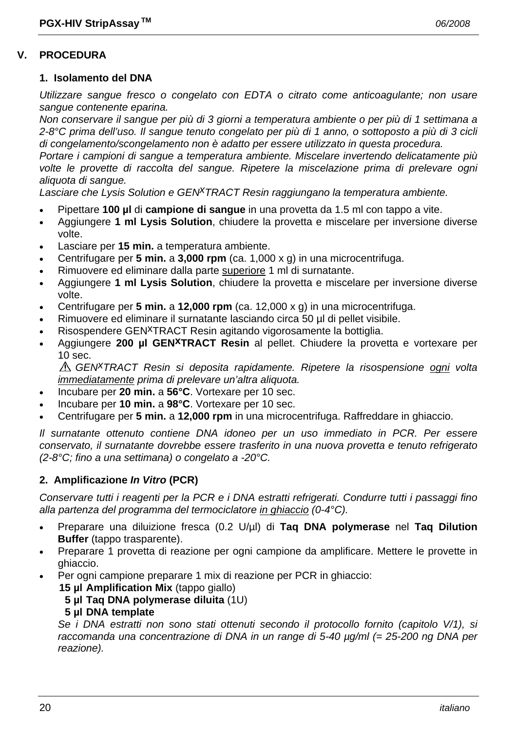#### **V. PROCEDURA**

#### **1. Isolamento del DNA**

*Utilizzare sangue fresco o congelato con EDTA o citrato come anticoagulante; non usare sangue contenente eparina.* 

*Non conservare il sangue per più di 3 giorni a temperatura ambiente o per più di 1 settimana a 2-8°C prima dell'uso. Il sangue tenuto congelato per più di 1 anno, o sottoposto a più di 3 cicli di congelamento/scongelamento non è adatto per essere utilizzato in questa procedura.* 

*Portare i campioni di sangue a temperatura ambiente. Miscelare invertendo delicatamente più volte le provette di raccolta del sangue. Ripetere la miscelazione prima di prelevare ogni aliquota di sangue.* 

*Lasciare che Lysis Solution e GENxTRACT Resin raggiungano la temperatura ambiente.*

- Pipettare **100 µl** di **campione di sangue** in una provetta da 1.5 ml con tappo a vite.
- Aggiungere **1 ml Lysis Solution**, chiudere la provetta e miscelare per inversione diverse volte.
- Lasciare per **15 min.** a temperatura ambiente.
- Centrifugare per **5 min.** a **3,000 rpm** (ca. 1,000 x g) in una microcentrifuga.
- Rimuovere ed eliminare dalla parte superiore 1 ml di surnatante.
- Aggiungere **1 ml Lysis Solution**, chiudere la provetta e miscelare per inversione diverse volte.
- Centrifugare per **5 min.** a **12,000 rpm** (ca. 12,000 x g) in una microcentrifuga.
- Rimuovere ed eliminare il surnatante lasciando circa 50 µl di pellet visibile.
- Risospendere GEN<sup>X</sup>TRACT Resin agitando vigorosamente la bottiglia.
- Aggiungere **200 µl GENxTRACT Resin** al pellet. Chiudere la provetta e vortexare per 10 sec.

*GENxTRACT Resin si deposita rapidamente. Ripetere la risospensione ogni volta immediatamente prima di prelevare un'altra aliquota.* 

- Incubare per **20 min.** a **56°C**. Vortexare per 10 sec.
- Incubare per **10 min.** a **98°C**. Vortexare per 10 sec.
- Centrifugare per **5 min.** a **12,000 rpm** in una microcentrifuga. Raffreddare in ghiaccio.

*Il surnatante ottenuto contiene DNA idoneo per un uso immediato in PCR. Per essere conservato, il surnatante dovrebbe essere trasferito in una nuova provetta e tenuto refrigerato (2-8°C; fino a una settimana) o congelato a -20°C.* 

#### **2. Amplificazione** *In Vitro* **(PCR)**

*Conservare tutti i reagenti per la PCR e i DNA estratti refrigerati. Condurre tutti i passaggi fino alla partenza del programma del termociclatore in ghiaccio (0-4°C).* 

- Preparare una diluizione fresca (0.2 U/µl) di **Taq DNA polymerase** nel **Taq Dilution Buffer** (tappo trasparente).
- Preparare 1 provetta di reazione per ogni campione da amplificare. Mettere le provette in ghiaccio.
	- Per ogni campione preparare 1 mix di reazione per PCR in ghiaccio:
		- **15 µl Amplification Mix** (tappo giallo)
			- **5 µl Taq DNA polymerase diluita** (1U)

#### **5 µl DNA template**

 *Se i DNA estratti non sono stati ottenuti secondo il protocollo fornito (capitolo V/1), si raccomanda una concentrazione di DNA in un range di 5-40 µg/ml (= 25-200 ng DNA per reazione).*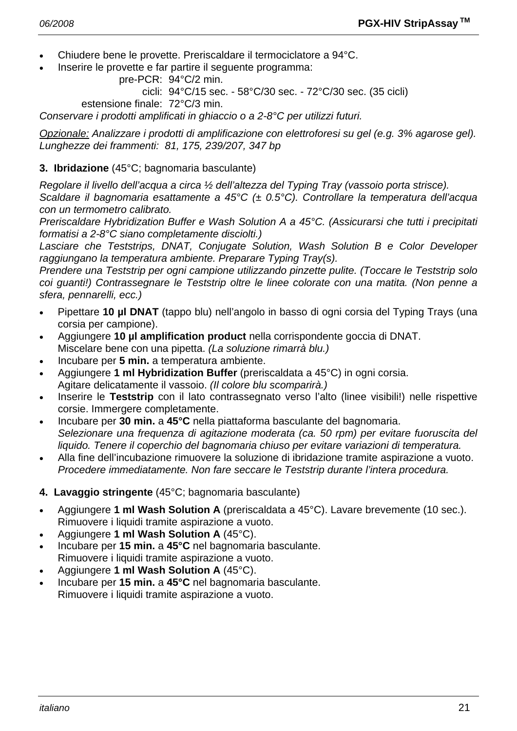- Chiudere bene le provette. Preriscaldare il termociclatore a 94°C.
- Inserire le provette e far partire il seguente programma:

```
 pre-PCR: 94°C/2 min.
```
cicli: 94°C/15 sec. - 58°C/30 sec. - 72°C/30 sec. (35 cicli)

estensione finale: 72°C/3 min.

*Conservare i prodotti amplificati in ghiaccio o a 2-8°C per utilizzi futuri.* 

*Opzionale: Analizzare i prodotti di amplificazione con elettroforesi su gel (e.g. 3% agarose gel). Lunghezze dei frammenti: 81, 175, 239/207, 347 bp* 

## **3. Ibridazione** (45°C; bagnomaria basculante)

*Regolare il livello dell'acqua a circa ½ dell'altezza del Typing Tray (vassoio porta strisce).* 

*Scaldare il bagnomaria esattamente a 45°C (± 0.5°C). Controllare la temperatura dell'acqua con un termometro calibrato.* 

*Preriscaldare Hybridization Buffer e Wash Solution A a 45°C. (Assicurarsi che tutti i precipitati formatisi a 2-8°C siano completamente disciolti.)* 

*Lasciare che Teststrips, DNAT, Conjugate Solution, Wash Solution B e Color Developer raggiungano la temperatura ambiente. Preparare Typing Tray(s).* 

*Prendere una Teststrip per ogni campione utilizzando pinzette pulite. (Toccare le Teststrip solo coi guanti!) Contrassegnare le Teststrip oltre le linee colorate con una matita. (Non penne a sfera, pennarelli, ecc.)* 

- Pipettare **10 µl DNAT** (tappo blu) nell'angolo in basso di ogni corsia del Typing Trays (una corsia per campione).
- Aggiungere **10 µl amplification product** nella corrispondente goccia di DNAT. Miscelare bene con una pipetta. *(La soluzione rimarrà blu.)*
- Incubare per **5 min.** a temperatura ambiente.
- Aggiungere **1 ml Hybridization Buffer** (preriscaldata a 45°C) in ogni corsia. Agitare delicatamente il vassoio. *(Il colore blu scomparirà.)*
- Inserire le **Teststrip** con il lato contrassegnato verso l'alto (linee visibili!) nelle rispettive corsie. Immergere completamente.
- Incubare per **30 min.** a **45°C** nella piattaforma basculante del bagnomaria.  *Selezionare una frequenza di agitazione moderata (ca. 50 rpm) per evitare fuoruscita del liquido. Tenere il coperchio del bagnomaria chiuso per evitare variazioni di temperatura.*
- Alla fine dell'incubazione rimuovere la soluzione di ibridazione tramite aspirazione a vuoto.  *Procedere immediatamente. Non fare seccare le Teststrip durante l'intera procedura.*
- **4. Lavaggio stringente** (45°C; bagnomaria basculante)
- Aggiungere **1 ml Wash Solution A** (preriscaldata a 45°C). Lavare brevemente (10 sec.). Rimuovere i liquidi tramite aspirazione a vuoto.
- Aggiungere **1 ml Wash Solution A** (45°C).
- Incubare per **15 min.** a **45°C** nel bagnomaria basculante. Rimuovere i liquidi tramite aspirazione a vuoto.
- Aggiungere **1 ml Wash Solution A** (45°C).
- Incubare per **15 min.** a **45°C** nel bagnomaria basculante. Rimuovere i liquidi tramite aspirazione a vuoto.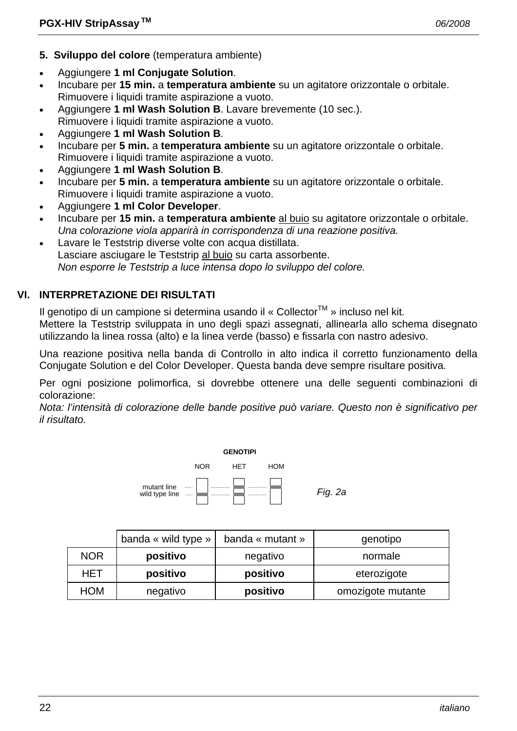- **5. Sviluppo del colore** (temperatura ambiente)
- Aggiungere **1 ml Conjugate Solution**.
- Incubare per **15 min.** a **temperatura ambiente** su un agitatore orizzontale o orbitale. Rimuovere i liquidi tramite aspirazione a vuoto.
- Aggiungere **1 ml Wash Solution B**. Lavare brevemente (10 sec.). Rimuovere i liquidi tramite aspirazione a vuoto.
- Aggiungere **1 ml Wash Solution B**.
- Incubare per **5 min.** a **temperatura ambiente** su un agitatore orizzontale o orbitale. Rimuovere i liquidi tramite aspirazione a vuoto.
- Aggiungere **1 ml Wash Solution B**.
- Incubare per **5 min.** a **temperatura ambiente** su un agitatore orizzontale o orbitale. Rimuovere i liquidi tramite aspirazione a vuoto.
- Aggiungere **1 ml Color Developer**.
- Incubare per **15 min.** a **temperatura ambiente** al buio su agitatore orizzontale o orbitale.  *Una colorazione viola apparirà in corrispondenza di una reazione positiva.*
- Lavare le Teststrip diverse volte con acqua distillata. Lasciare asciugare le Teststrip al buio su carta assorbente.  *Non esporre le Teststrip a luce intensa dopo lo sviluppo del colore.*

# **VI. INTERPRETAZIONE DEI RISULTATI**

Il genotipo di un campione si determina usando il « Collector<sup>TM</sup> » incluso nel kit.

Mettere la Teststrip sviluppata in uno degli spazi assegnati, allinearla allo schema disegnato utilizzando la linea rossa (alto) e la linea verde (basso) e fissarla con nastro adesivo.

Una reazione positiva nella banda di Controllo in alto indica il corretto funzionamento della Conjugate Solution e del Color Developer. Questa banda deve sempre risultare positiva.

Per ogni posizione polimorfica, si dovrebbe ottenere una delle seguenti combinazioni di colorazione:

*Nota: l'intensità di colorazione delle bande positive può variare. Questo non è significativo per il risultato.* 



|            | banda « wild type » | banda « mutant » | genotipo          |
|------------|---------------------|------------------|-------------------|
| <b>NOR</b> | positivo            | negativo         | normale           |
| <b>HET</b> | positivo            | positivo         | eterozigote       |
| <b>HOM</b> | negativo            | positivo         | omozigote mutante |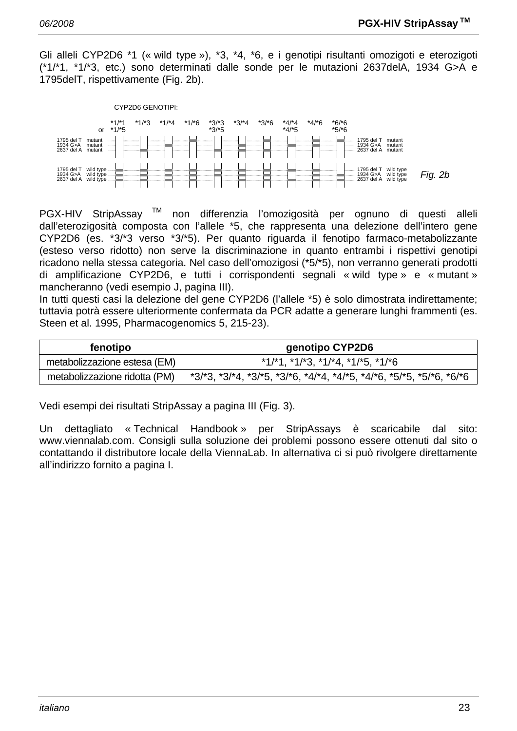Gli alleli CYP2D6 \*1 (« wild type »), \*3, \*4, \*6, e i genotipi risultanti omozigoti e eterozigoti (\*1/\*1, \*1/\*3, etc.) sono determinati dalle sonde per le mutazioni 2637delA, 1934 G>A e 1795delT, rispettivamente (Fig. 2b).



PGX-HIV StripAssay<sup>™</sup> non differenzia l'omozigosità per ognuno di questi alleli dall'eterozigosità composta con l'allele \*5, che rappresenta una delezione dell'intero gene CYP2D6 (es. \*3/\*3 verso \*3/\*5). Per quanto riguarda il fenotipo farmaco-metabolizzante (esteso verso ridotto) non serve la discriminazione in quanto entrambi i rispettivi genotipi ricadono nella stessa categoria. Nel caso dell'omozigosi (\*5/\*5), non verranno generati prodotti di amplificazione CYP2D6, e tutti i corrispondenti segnali « wild type » e « mutant » mancheranno (vedi esempio J, pagina III).

In tutti questi casi la delezione del gene CYP2D6 (l'allele \*5) è solo dimostrata indirettamente; tuttavia potrà essere ulteriormente confermata da PCR adatte a generare lunghi frammenti (es. Steen et al. 1995, Pharmacogenomics 5, 215-23).

| fenotipo                      | genotipo CYP2D6                                                                           |  |
|-------------------------------|-------------------------------------------------------------------------------------------|--|
| metabolizzazione estesa (EM)  | $*1/*1$ , $*1/*3$ , $*1/*4$ , $*1/*5$ , $*1/*6$                                           |  |
| metabolizzazione ridotta (PM) | $*3/3$ , $*3/4$ , $*3/5$ , $*3/5$ , $*4/4$ , $*4/5$ , $*4/5$ , $*5/5$ , $*5/5$ , $*6/5/6$ |  |

Vedi esempi dei risultati StripAssay a pagina III (Fig. 3).

Un dettagliato « Technical Handbook » per StripAssays è scaricabile dal sito: www.viennalab.com. Consigli sulla soluzione dei problemi possono essere ottenuti dal sito o contattando il distributore locale della ViennaLab. In alternativa ci si può rivolgere direttamente all'indirizzo fornito a pagina I.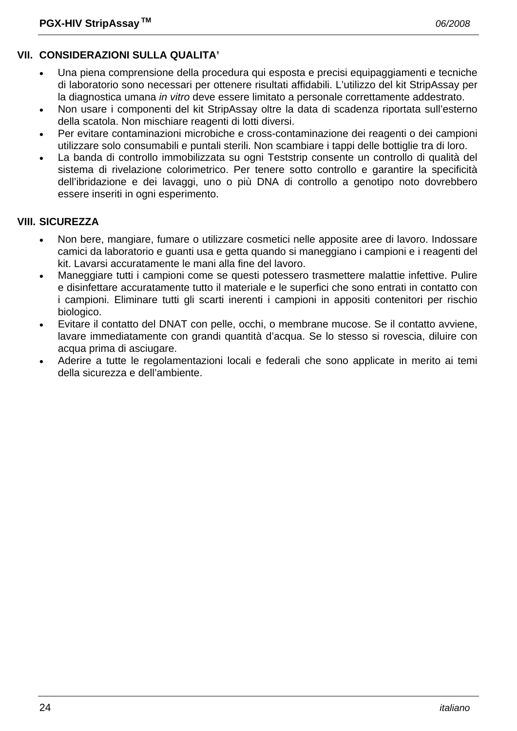# **VII. CONSIDERAZIONI SULLA QUALITA'**

- Una piena comprensione della procedura qui esposta e precisi equipaggiamenti e tecniche di laboratorio sono necessari per ottenere risultati affidabili. L'utilizzo del kit StripAssay per la diagnostica umana *in vitro* deve essere limitato a personale correttamente addestrato.
- Non usare i componenti del kit StripAssay oltre la data di scadenza riportata sull'esterno della scatola. Non mischiare reagenti di lotti diversi.
- Per evitare contaminazioni microbiche e cross-contaminazione dei reagenti o dei campioni utilizzare solo consumabili e puntali sterili. Non scambiare i tappi delle bottiglie tra di loro.
- La banda di controllo immobilizzata su ogni Teststrip consente un controllo di qualità del sistema di rivelazione colorimetrico. Per tenere sotto controllo e garantire la specificità dell'ibridazione e dei lavaggi, uno o più DNA di controllo a genotipo noto dovrebbero essere inseriti in ogni esperimento.

#### **VIII. SICUREZZA**

- Non bere, mangiare, fumare o utilizzare cosmetici nelle apposite aree di lavoro. Indossare camici da laboratorio e guanti usa e getta quando si maneggiano i campioni e i reagenti del kit. Lavarsi accuratamente le mani alla fine del lavoro.
- Maneggiare tutti i campioni come se questi potessero trasmettere malattie infettive. Pulire e disinfettare accuratamente tutto il materiale e le superfici che sono entrati in contatto con i campioni. Eliminare tutti gli scarti inerenti i campioni in appositi contenitori per rischio biologico.
- Evitare il contatto del DNAT con pelle, occhi, o membrane mucose. Se il contatto avviene, lavare immediatamente con grandi quantità d'acqua. Se lo stesso si rovescia, diluire con acqua prima di asciugare.
- Aderire a tutte le regolamentazioni locali e federali che sono applicate in merito ai temi della sicurezza e dell'ambiente.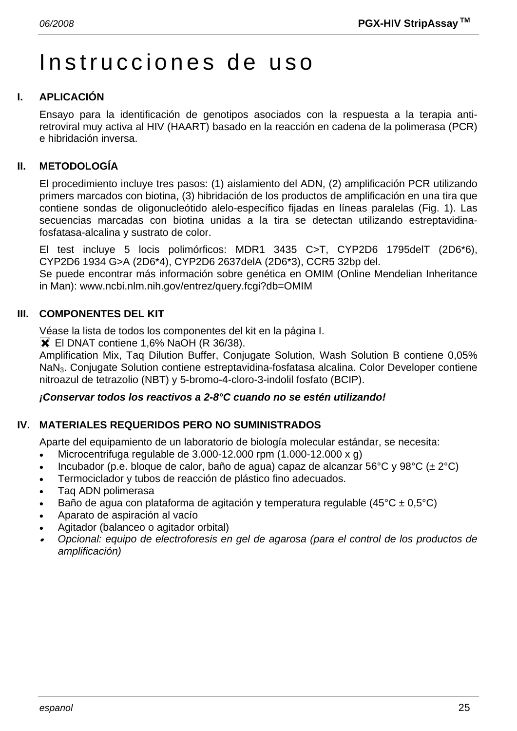# Instrucciones de uso

# **I. APLICACIÓN**

Ensayo para la identificación de genotipos asociados con la respuesta a la terapia antiretroviral muy activa al HIV (HAART) basado en la reacción en cadena de la polimerasa (PCR) e hibridación inversa.

# **II. METODOLOGÍA**

El procedimiento incluye tres pasos: (1) aislamiento del ADN, (2) amplificación PCR utilizando primers marcados con biotina, (3) hibridación de los productos de amplificación en una tira que contiene sondas de oligonucleótido alelo-específico fijadas en líneas paralelas (Fig. 1). Las secuencias marcadas con biotina unidas a la tira se detectan utilizando estreptavidinafosfatasa-alcalina y sustrato de color.

El test incluye 5 locis polimórficos: MDR1 3435 C>T, CYP2D6 1795delT (2D6\*6), CYP2D6 1934 G>A (2D6\*4), CYP2D6 2637delA (2D6\*3), CCR5 32bp del.

Se puede encontrar más información sobre genética en OMIM (Online Mendelian Inheritance in Man): www.ncbi.nlm.nih.gov/entrez/query.fcgi?db=OMIM

# **III. COMPONENTES DEL KIT**

Véase la lista de todos los componentes del kit en la página I.

**X** El DNAT contiene 1,6% NaOH (R 36/38).

Amplification Mix, Taq Dilution Buffer, Conjugate Solution, Wash Solution B contiene 0,05% NaN3. Conjugate Solution contiene estreptavidina-fosfatasa alcalina. Color Developer contiene nitroazul de tetrazolio (NBT) y 5-bromo-4-cloro-3-indolil fosfato (BCIP).

#### *¡Conservar todos los reactivos a 2-8°C cuando no se estén utilizando!*

# **IV. MATERIALES REQUERIDOS PERO NO SUMINISTRADOS**

Aparte del equipamiento de un laboratorio de biología molecular estándar, se necesita:

- Microcentrifuga regulable de  $3.000-12.000$  rpm  $(1.000-12.000 \times g)$
- Incubador (p.e. bloque de calor, baño de agua) capaz de alcanzar 56°C y 98°C ( $\pm 2$ °C)
- Termociclador y tubos de reacción de plástico fino adecuados.
- Taq ADN polimerasa
- Baño de agua con plataforma de agitación y temperatura regulable (45 $^{\circ}$ C ± 0,5 $^{\circ}$ C)
- Aparato de aspiración al vacío
- Agitador (balanceo o agitador orbital)
- • *Opcional: equipo de electroforesis en gel de agarosa (para el control de los productos de amplificación)*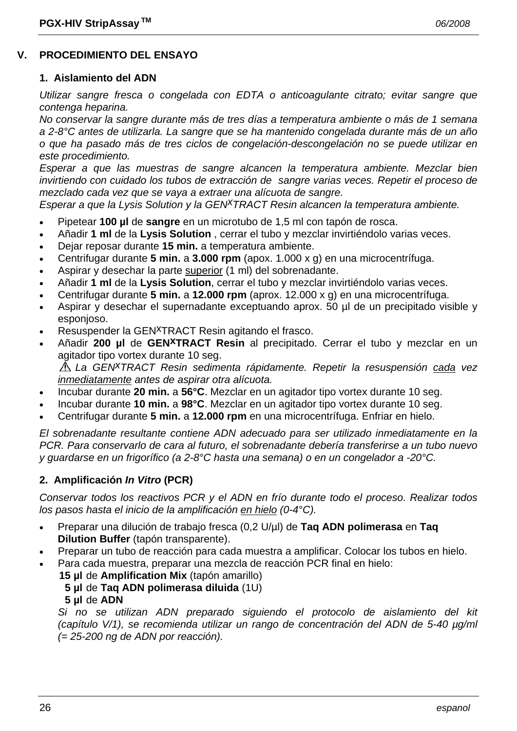#### **V. PROCEDIMIENTO DEL ENSAYO**

#### **1. Aislamiento del ADN**

*Utilizar sangre fresca o congelada con EDTA o anticoagulante citrato; evitar sangre que contenga heparina.* 

*No conservar la sangre durante más de tres días a temperatura ambiente o más de 1 semana a 2-8°C antes de utilizarla. La sangre que se ha mantenido congelada durante más de un año o que ha pasado más de tres ciclos de congelación-descongelación no se puede utilizar en este procedimiento.* 

*Esperar a que las muestras de sangre alcancen la temperatura ambiente. Mezclar bien invirtiendo con cuidado los tubos de extracción de sangre varias veces. Repetir el proceso de mezclado cada vez que se vaya a extraer una alícuota de sangre.* 

*Esperar a que la Lysis Solution y la GENxTRACT Resin alcancen la temperatura ambiente.*

- Pipetear **100 µl** de **sangre** en un microtubo de 1,5 ml con tapón de rosca.
- Añadir **1 ml** de la **Lysis Solution** , cerrar el tubo y mezclar invirtiéndolo varias veces.
- Dejar reposar durante **15 min.** a temperatura ambiente.
- Centrifugar durante **5 min.** a **3.000 rpm** (apox. 1.000 x g) en una microcentrífuga.
- Aspirar y desechar la parte superior (1 ml) del sobrenadante.
- Añadir **1 ml** de la **Lysis Solution**, cerrar el tubo y mezclar invirtiéndolo varias veces.
- Centrifugar durante **5 min.** a **12.000 rpm** (aprox. 12.000 x g) en una microcentrífuga.
- Aspirar y desechar el supernadante exceptuando aprox. 50 µl de un precipitado visible y esponjoso.
- Resuspender la GEN<sup>X</sup>TRACT Resin agitando el frasco.
- Añadir **200 µl** de **GENxTRACT Resin** al precipitado. Cerrar el tubo y mezclar en un agitador tipo vortex durante 10 seg.

*La GENxTRACT Resin sedimenta rápidamente. Repetir la resuspensión cada vez inmediatamente antes de aspirar otra alícuota.* 

- Incubar durante **20 min.** a **56°C**. Mezclar en un agitador tipo vortex durante 10 seg.
- Incubar durante **10 min.** a **98°C**. Mezclar en un agitador tipo vortex durante 10 seg.
- Centrifugar durante **5 min.** a **12.000 rpm** en una microcentrífuga. Enfriar en hielo.

*El sobrenadante resultante contiene ADN adecuado para ser utilizado inmediatamente en la PCR. Para conservarlo de cara al futuro, el sobrenadante debería transferirse a un tubo nuevo y guardarse en un frigorífico (a 2-8°C hasta una semana) o en un congelador a -20°C.* 

#### **2. Amplificación** *In Vitro* **(PCR)**

*Conservar todos los reactivos PCR y el ADN en frío durante todo el proceso. Realizar todos los pasos hasta el inicio de la amplificación en hielo (0-4°C).* 

- Preparar una dilución de trabajo fresca (0,2 U/µl) de **Taq ADN polimerasa** en **Taq Dilution Buffer** (tapón transparente).
- Preparar un tubo de reacción para cada muestra a amplificar. Colocar los tubos en hielo.
- Para cada muestra, preparar una mezcla de reacción PCR final en hielo:
	- **15 µl** de **Amplification Mix** (tapón amarillo)
		- **5 µl** de **Taq ADN polimerasa diluida** (1U)
		- **5 µl** de **ADN**

 *Si no se utilizan ADN preparado siguiendo el protocolo de aislamiento del kit (capítulo V/1), se recomienda utilizar un rango de concentración del ADN de 5-40 µg/ml (= 25-200 ng de ADN por reacción).*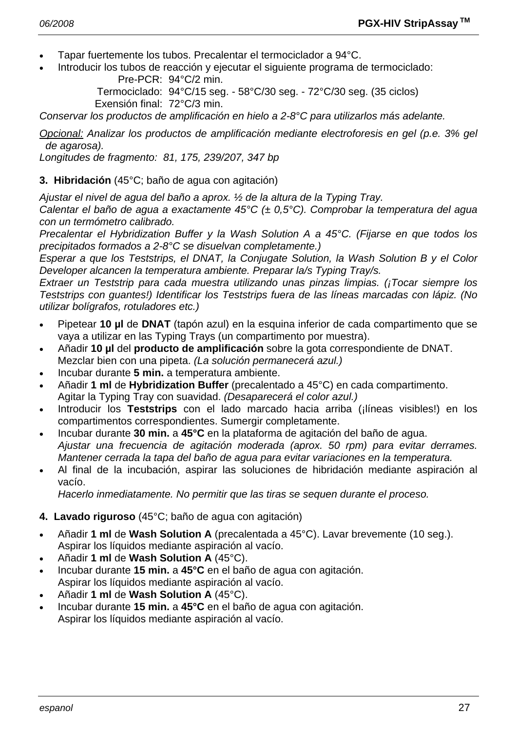- Tapar fuertemente los tubos. Precalentar el termociclador a 94°C.
- Introducir los tubos de reacción y ejecutar el siguiente programa de termociclado: Pre-PCR: 94°C/2 min.

 Termociclado: 94°C/15 seg. - 58°C/30 seg. - 72°C/30 seg. (35 ciclos) Exensión final: 72°C/3 min.

*Conservar los productos de amplificación en hielo a 2-8°C para utilizarlos más adelante.* 

*Opcional: Analizar los productos de amplificación mediante electroforesis en gel (p.e. 3% gel de agarosa).* 

*Longitudes de fragmento: 81, 175, 239/207, 347 bp* 

#### **3. Hibridación** (45°C; baño de agua con agitación)

*Ajustar el nivel de agua del baño a aprox. ½ de la altura de la Typing Tray.* 

*Calentar el baño de agua a exactamente 45°C (± 0,5°C). Comprobar la temperatura del agua con un termómetro calibrado.* 

*Precalentar el Hybridization Buffer y la Wash Solution A a 45°C. (Fijarse en que todos los precipitados formados a 2-8°C se disuelvan completamente.)* 

*Esperar a que los Teststrips, el DNAT, la Conjugate Solution, la Wash Solution B y el Color Developer alcancen la temperatura ambiente. Preparar la/s Typing Tray/s.* 

*Extraer un Teststrip para cada muestra utilizando unas pinzas limpias. (¡Tocar siempre los Teststrips con guantes!) Identificar los Teststrips fuera de las líneas marcadas con lápiz. (No utilizar bolígrafos, rotuladores etc.)* 

- Pipetear **10 µl** de **DNAT** (tapón azul) en la esquina inferior de cada compartimento que se vaya a utilizar en las Typing Trays (un compartimento por muestra).
- Añadir **10 µl** del **producto de amplificación** sobre la gota correspondiente de DNAT. Mezclar bien con una pipeta. *(La solución permanecerá azul.)*
- Incubar durante **5 min.** a temperatura ambiente.
- Añadir **1 ml** de **Hybridization Buffer** (precalentado a 45°C) en cada compartimento. Agitar la Typing Tray con suavidad. *(Desaparecerá el color azul.)*
- Introducir los **Teststrips** con el lado marcado hacia arriba (¡líneas visibles!) en los compartimentos correspondientes. Sumergir completamente.
- Incubar durante **30 min.** a **45°C** en la plataforma de agitación del baño de agua.  *Ajustar una frecuencia de agitación moderada (aprox. 50 rpm) para evitar derrames. Mantener cerrada la tapa del baño de agua para evitar variaciones en la temperatura.*
- Al final de la incubación, aspirar las soluciones de hibridación mediante aspiración al vacío.

 *Hacerlo inmediatamente. No permitir que las tiras se sequen durante el proceso.* 

- **4. Lavado riguroso** (45°C; baño de agua con agitación)
- Añadir **1 ml** de **Wash Solution A** (precalentada a 45°C). Lavar brevemente (10 seg.). Aspirar los líquidos mediante aspiración al vacío.
- Añadir **1 ml** de **Wash Solution A** (45°C).
- Incubar durante **15 min.** a **45°C** en el baño de agua con agitación. Aspirar los líquidos mediante aspiración al vacío.
- Añadir **1 ml** de **Wash Solution A** (45°C).
- Incubar durante **15 min.** a **45°C** en el baño de agua con agitación. Aspirar los líquidos mediante aspiración al vacío.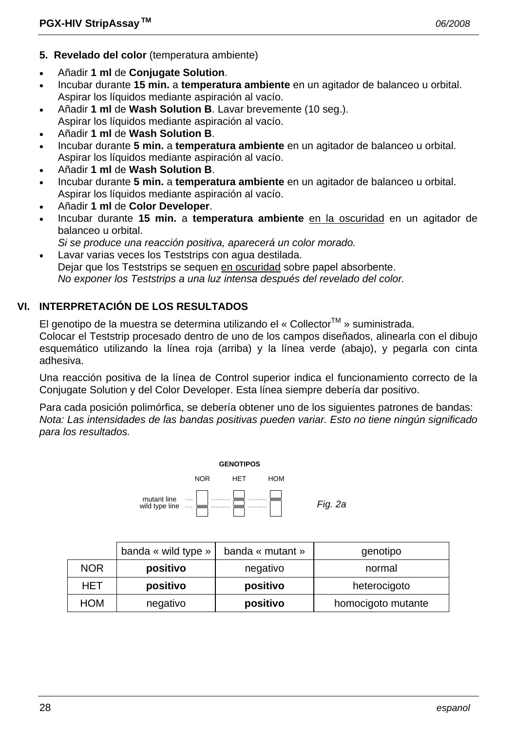- **5. Revelado del color** (temperatura ambiente)
- Añadir **1 ml** de **Conjugate Solution**.
- Incubar durante **15 min.** a **temperatura ambiente** en un agitador de balanceo u orbital. Aspirar los líquidos mediante aspiración al vacío.
- Añadir **1 ml** de **Wash Solution B**. Lavar brevemente (10 seg.).
- Aspirar los líquidos mediante aspiración al vacío.
- Añadir **1 ml** de **Wash Solution B**.
- Incubar durante **5 min.** a **temperatura ambiente** en un agitador de balanceo u orbital. Aspirar los líquidos mediante aspiración al vacío.
- Añadir **1 ml** de **Wash Solution B**.
- Incubar durante **5 min.** a **temperatura ambiente** en un agitador de balanceo u orbital. Aspirar los líquidos mediante aspiración al vacío.
- Añadir **1 ml** de **Color Developer**.
- Incubar durante **15 min.** a **temperatura ambiente** en la oscuridad en un agitador de balanceo u orbital.
- *Si se produce una reacción positiva, aparecerá un color morado.*
- Lavar varias veces los Teststrips con agua destilada. Dejar que los Teststrips se sequen en oscuridad sobre papel absorbente.  *No exponer los Teststrips a una luz intensa después del revelado del color.*

# **VI. INTERPRETACIÓN DE LOS RESULTADOS**

El genotipo de la muestra se determina utilizando el « Collector<sup>TM</sup> » suministrada.

Colocar el Teststrip procesado dentro de uno de los campos diseñados, alinearla con el dibujo esquemático utilizando la línea roja (arriba) y la línea verde (abajo), y pegarla con cinta adhesiva.

Una reacción positiva de la línea de Control superior indica el funcionamiento correcto de la Conjugate Solution y del Color Developer. Esta línea siempre debería dar positivo.

Para cada posición polimórfica, se debería obtener uno de los siguientes patrones de bandas: *Nota: Las intensidades de las bandas positivas pueden variar. Esto no tiene ningún significado para los resultados.* 



|            | banda « wild type » | banda « mutant » | genotipo           |
|------------|---------------------|------------------|--------------------|
| <b>NOR</b> | positivo            | negativo         | normal             |
| <b>HET</b> | positivo            | positivo         | heterocigoto       |
| <b>HOM</b> | negativo            | positivo         | homocigoto mutante |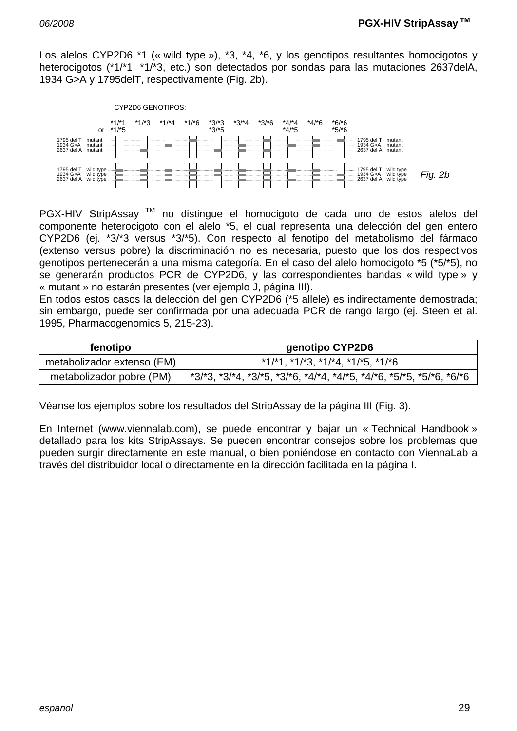Los alelos CYP2D6 \*1 (« wild type »), \*3, \*4, \*6, y los genotipos resultantes homocigotos y heterocigotos (\*1/\*1, \*1/\*3, etc.) son detectados por sondas para las mutaciones 2637delA, 1934 G>A y 1795delT, respectivamente (Fig. 2b).



PGX-HIV StripAssay<sup>™</sup> no distingue el homocigoto de cada uno de estos alelos del componente heterocigoto con el alelo \*5, el cual representa una delección del gen entero CYP2D6 (ej. \*3/\*3 versus \*3/\*5). Con respecto al fenotipo del metabolismo del fármaco (extenso versus pobre) la discriminación no es necesaria, puesto que los dos respectivos genotipos pertenecerán a una misma categoría. En el caso del alelo homocigoto \*5 (\*5/\*5), no se generarán productos PCR de CYP2D6, y las correspondientes bandas « wild type » y « mutant » no estarán presentes (ver ejemplo J, página III).

En todos estos casos la delección del gen CYP2D6 (\*5 allele) es indirectamente demostrada; sin embargo, puede ser confirmada por una adecuada PCR de rango largo (ej. Steen et al. 1995, Pharmacogenomics 5, 215-23).

| fenotipo                   | genotipo CYP2D6                                                                         |  |
|----------------------------|-----------------------------------------------------------------------------------------|--|
| metabolizador extenso (EM) | $*1/1$ , $*1/13$ , $*1/14$ , $*1/15$ , $*1/16$                                          |  |
| metabolizador pobre (PM)   | $*3/3$ , $*3/4$ , $*3/5$ , $*3/6$ , $*4/4$ , $*4/5$ , $*4/6$ , $*5/5$ , $*5/6$ , $*6/6$ |  |

Véanse los ejemplos sobre los resultados del StripAssay de la página III (Fig. 3).

En Internet (www.viennalab.com), se puede encontrar y bajar un « Technical Handbook » detallado para los kits StripAssays. Se pueden encontrar consejos sobre los problemas que pueden surgir directamente en este manual, o bien poniéndose en contacto con ViennaLab a través del distribuidor local o directamente en la dirección facilitada en la página I.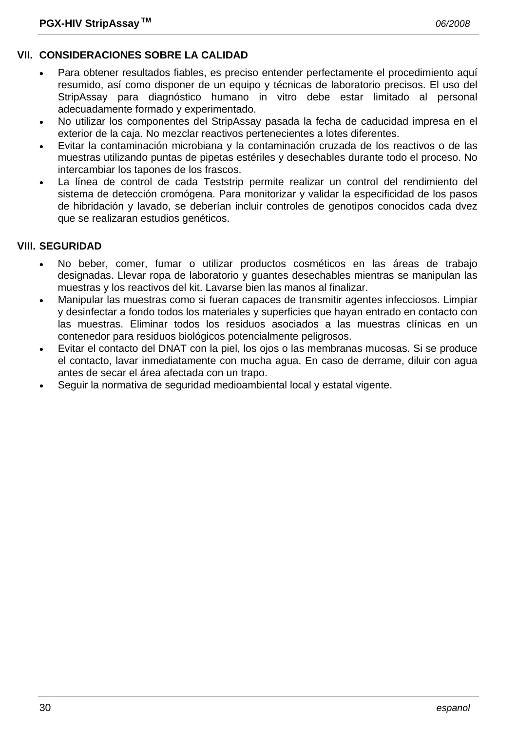# **VII. CONSIDERACIONES SOBRE LA CALIDAD**

- Para obtener resultados fiables, es preciso entender perfectamente el procedimiento aquí resumido, así como disponer de un equipo y técnicas de laboratorio precisos. El uso del StripAssay para diagnóstico humano in vitro debe estar limitado al personal adecuadamente formado y experimentado.
- No utilizar los componentes del StripAssay pasada la fecha de caducidad impresa en el exterior de la caja. No mezclar reactivos pertenecientes a lotes diferentes.
- Evitar la contaminación microbiana y la contaminación cruzada de los reactivos o de las muestras utilizando puntas de pipetas estériles y desechables durante todo el proceso. No intercambiar los tapones de los frascos.
- La línea de control de cada Teststrip permite realizar un control del rendimiento del sistema de detección cromógena. Para monitorizar y validar la especificidad de los pasos de hibridación y lavado, se deberían incluir controles de genotipos conocidos cada dvez que se realizaran estudios genéticos.

# **VIII. SEGURIDAD**

- No beber, comer, fumar o utilizar productos cosméticos en las áreas de trabajo designadas. Llevar ropa de laboratorio y guantes desechables mientras se manipulan las muestras y los reactivos del kit. Lavarse bien las manos al finalizar.
- Manipular las muestras como si fueran capaces de transmitir agentes infecciosos. Limpiar y desinfectar a fondo todos los materiales y superficies que hayan entrado en contacto con las muestras. Eliminar todos los residuos asociados a las muestras clínicas en un contenedor para residuos biológicos potencialmente peligrosos.
- Evitar el contacto del DNAT con la piel, los ojos o las membranas mucosas. Si se produce el contacto, lavar inmediatamente con mucha agua. En caso de derrame, diluir con agua antes de secar el área afectada con un trapo.
- Seguir la normativa de seguridad medioambiental local y estatal vigente.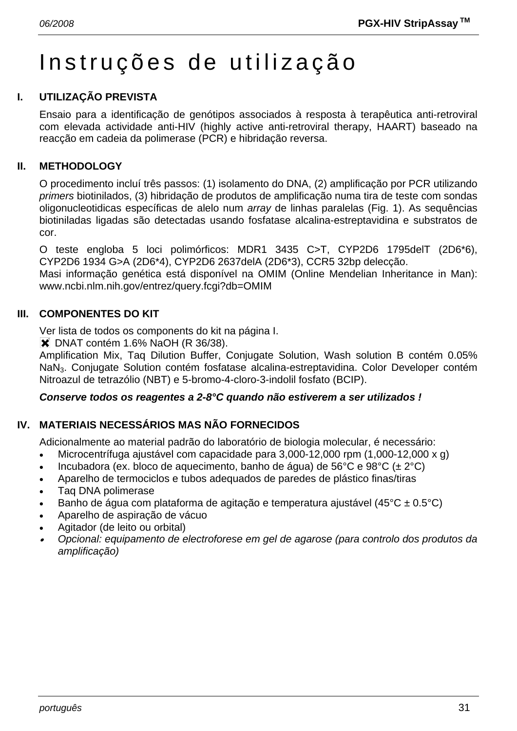# Instruções de utilização

# **I. UTILIZAÇÃO PREVISTA**

Ensaio para a identificação de genótipos associados à resposta à terapêutica anti-retroviral com elevada actividade anti-HIV (highly active anti-retroviral therapy, HAART) baseado na reacção em cadeia da polimerase (PCR) e hibridação reversa.

#### **II. METHODOLOGY**

O procedimento incluí três passos: (1) isolamento do DNA, (2) amplificação por PCR utilizando *primers* biotinilados, (3) hibridação de produtos de amplificação numa tira de teste com sondas oligonucleotidicas específicas de alelo num *array* de linhas paralelas (Fig. 1). As sequências biotiniladas ligadas são detectadas usando fosfatase alcalina-estreptavidina e substratos de cor.

O teste engloba 5 loci polimórficos: MDR1 3435 C>T, CYP2D6 1795delT (2D6\*6), CYP2D6 1934 G>A (2D6\*4), CYP2D6 2637delA (2D6\*3), CCR5 32bp delecção.

Masi informação genética está disponível na OMIM (Online Mendelian Inheritance in Man): www.ncbi.nlm.nih.gov/entrez/query.fcgi?db=OMIM

### **III. COMPONENTES DO KIT**

Ver lista de todos os components do kit na página I.

**X** DNAT contém 1.6% NaOH (R 36/38).

Amplification Mix, Taq Dilution Buffer, Conjugate Solution, Wash solution B contém 0.05% NaN3. Conjugate Solution contém fosfatase alcalina-estreptavidina. Color Developer contém Nitroazul de tetrazólio (NBT) e 5-bromo-4-cloro-3-indolil fosfato (BCIP).

#### *Conserve todos os reagentes a 2-8°C quando não estiverem a ser utilizados !*

# **IV. MATERIAIS NECESSÁRIOS MAS NÃO FORNECIDOS**

Adicionalmente ao material padrão do laboratório de biologia molecular, é necessário:

- Microcentrífuga ajustável com capacidade para 3,000-12,000 rpm (1,000-12,000 x g)
- Incubadora (ex. bloco de aquecimento, banho de água) de 56°C e 98°C ( $\pm 2$ °C)
- Aparelho de termociclos e tubos adequados de paredes de plástico finas/tiras
- Taq DNA polimerase
- Banho de água com plataforma de agitação e temperatura ajustável (45°C ± 0.5°C)
- Aparelho de aspiração de vácuo
- Agitador (de leito ou orbital)
- • *Opcional: equipamento de electroforese em gel de agarose (para controlo dos produtos da amplificação)*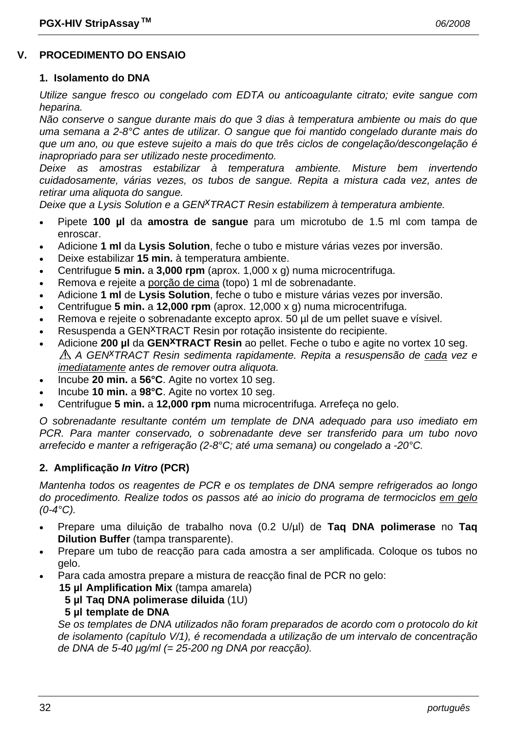### **V. PROCEDIMENTO DO ENSAIO**

#### **1. Isolamento do DNA**

*Utilize sangue fresco ou congelado com EDTA ou anticoagulante citrato; evite sangue com heparina.* 

*Não conserve o sangue durante mais do que 3 dias à temperatura ambiente ou mais do que uma semana a 2-8°C antes de utilizar. O sangue que foi mantido congelado durante mais do que um ano, ou que esteve sujeito a mais do que três ciclos de congelação/descongelação é inapropriado para ser utilizado neste procedimento.* 

*Deixe as amostras estabilizar à temperatura ambiente. Misture bem invertendo cuidadosamente, várias vezes, os tubos de sangue. Repita a mistura cada vez, antes de retirar uma aliquota do sangue.* 

*Deixe que a Lysis Solution e a GENxTRACT Resin estabilizem à temperatura ambiente.*

- Pipete **100 µl** da **amostra de sangue** para um microtubo de 1.5 ml com tampa de enroscar.
- Adicione **1 ml** da **Lysis Solution**, feche o tubo e misture várias vezes por inversão.
- Deixe estabilizar **15 min.** à temperatura ambiente.
- Centrifugue **5 min.** a **3,000 rpm** (aprox. 1,000 x g) numa microcentrifuga.
- Remova e rejeite a porção de cima (topo) 1 ml de sobrenadante.
- Adicione **1 ml** de **Lysis Solution**, feche o tubo e misture várias vezes por inversão.
- Centrifugue **5 min.** a **12,000 rpm** (aprox. 12,000 x g) numa microcentrifuga.
- Remova e rejeite o sobrenadante excepto aprox. 50 µl de um pellet suave e vísivel.
- Resuspenda a GEN<sup>X</sup>TRACT Resin por rotação insistente do recipiente.
- Adicione **200 µl** da **GENxTRACT Resin** ao pellet. Feche o tubo e agite no vortex 10 seg. *A GENxTRACT Resin sedimenta rapidamente. Repita a resuspensão de cada vez e imediatamente antes de remover outra aliquota.*
- Incube **20 min.** a **56°C**. Agite no vortex 10 seg.
- Incube **10 min.** a **98°C**. Agite no vortex 10 seg.
- Centrifugue **5 min.** a **12,000 rpm** numa microcentrifuga. Arrefeça no gelo.

*O sobrenadante resultante contém um template de DNA adequado para uso imediato em PCR. Para manter conservado, o sobrenadante deve ser transferido para um tubo novo arrefecido e manter a refrigeração (2-8°C; até uma semana) ou congelado a -20°C.* 

#### **2. Amplificação** *In Vitro* **(PCR)**

*Mantenha todos os reagentes de PCR e os templates de DNA sempre refrigerados ao longo do procedimento. Realize todos os passos até ao inicio do programa de termociclos em gelo (0-4°C).* 

- Prepare uma diluição de trabalho nova (0.2 U/µl) de **Taq DNA polimerase** no **Taq Dilution Buffer** (tampa transparente).
- Prepare um tubo de reacção para cada amostra a ser amplificada. Coloque os tubos no gelo.
	- Para cada amostra prepare a mistura de reacção final de PCR no gelo:
		- **15 µl Amplification Mix** (tampa amarela)
			- **5 µl Taq DNA polimerase diluida** (1U)

#### **5 µl template de DNA**

 *Se os templates de DNA utilizados não foram preparados de acordo com o protocolo do kit de isolamento (capítulo V/1), é recomendada a utilização de um intervalo de concentração de DNA de 5-40 µg/ml (= 25-200 ng DNA por reacção).*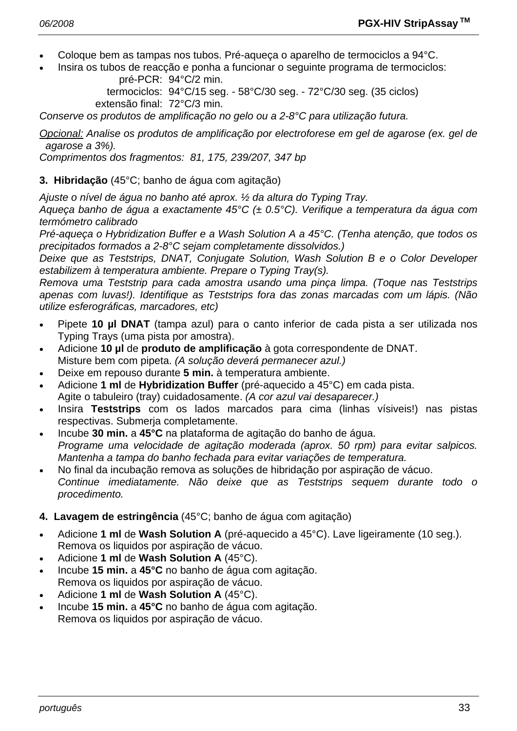- Coloque bem as tampas nos tubos. Pré-aqueça o aparelho de termociclos a 94°C.
- Insira os tubos de reacção e ponha a funcionar o seguinte programa de termociclos: pré-PCR: 94°C/2 min.

 termociclos: 94°C/15 seg. - 58°C/30 seg. - 72°C/30 seg. (35 ciclos) extensão final: 72°C/3 min.

*Conserve os produtos de amplificação no gelo ou a 2-8°C para utilização futura.* 

*Opcional: Analise os produtos de amplificação por electroforese em gel de agarose (ex. gel de agarose a 3%).* 

*Comprimentos dos fragmentos: 81, 175, 239/207, 347 bp* 

#### **3. Hibridação** (45°C; banho de água com agitação)

*Ajuste o nível de água no banho até aprox. ½ da altura do Typing Tray.* 

*Aqueça banho de água a exactamente 45°C (± 0.5°C). Verifique a temperatura da água com termómetro calibrado* 

*Pré-aqueça o Hybridization Buffer e a Wash Solution A a 45°C. (Tenha atenção, que todos os precipitados formados a 2-8°C sejam completamente dissolvidos.)* 

*Deixe que as Teststrips, DNAT, Conjugate Solution, Wash Solution B e o Color Developer estabilizem à temperatura ambiente. Prepare o Typing Tray(s).* 

*Remova uma Teststrip para cada amostra usando uma pinça limpa. (Toque nas Teststrips apenas com luvas!). Identifique as Teststrips fora das zonas marcadas com um lápis. (Não utilize esferográficas, marcadores, etc)* 

- Pipete **10 µl DNAT** (tampa azul) para o canto inferior de cada pista a ser utilizada nos Typing Trays (uma pista por amostra).
- Adicione **10 µl** de **produto de amplificação** à gota correspondente de DNAT. Misture bem com pipeta. *(A solução deverá permanecer azul.)*
- Deixe em repouso durante **5 min.** à temperatura ambiente.
- Adicione **1 ml** de **Hybridization Buffer** (pré-aquecido a 45°C) em cada pista. Agite o tabuleiro (tray) cuidadosamente. *(A cor azul vai desaparecer.)*
- Insira **Teststrips** com os lados marcados para cima (linhas vísiveis!) nas pistas respectivas. Submerja completamente.
- Incube **30 min.** a **45°C** na plataforma de agitação do banho de água.  *Programe uma velocidade de agitação moderada (aprox. 50 rpm) para evitar salpicos. Mantenha a tampa do banho fechada para evitar variações de temperatura.*
- No final da incubação remova as soluções de hibridação por aspiração de vácuo.  *Continue imediatamente. Não deixe que as Teststrips sequem durante todo o procedimento.*

#### **4. Lavagem de estringência** (45°C; banho de água com agitação)

- Adicione **1 ml** de **Wash Solution A** (pré-aquecido a 45°C). Lave ligeiramente (10 seg.). Remova os liquidos por aspiração de vácuo.
- Adicione **1 ml** de **Wash Solution A** (45°C).
- Incube **15 min.** a **45°C** no banho de água com agitação. Remova os liquidos por aspiração de vácuo.
- Adicione **1 ml** de **Wash Solution A** (45°C).
- Incube **15 min.** a **45°C** no banho de água com agitação. Remova os liquidos por aspiração de vácuo.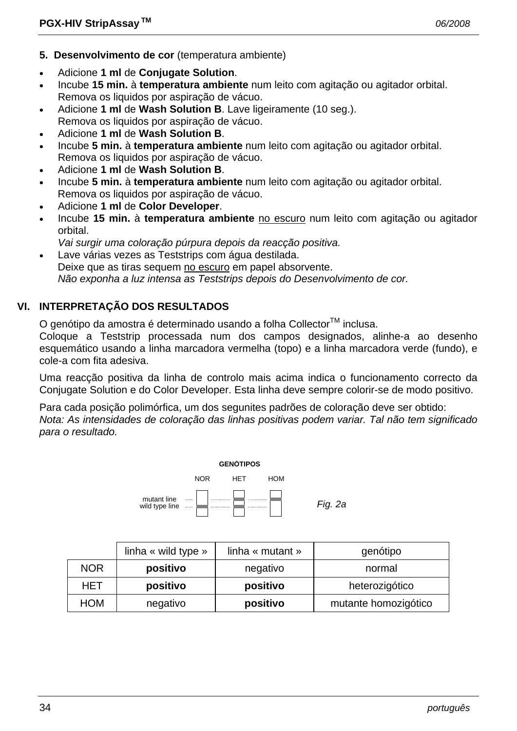- **5. Desenvolvimento de cor** (temperatura ambiente)
- Adicione **1 ml** de **Conjugate Solution**.
- Incube **15 min.** à **temperatura ambiente** num leito com agitação ou agitador orbital. Remova os liquidos por aspiração de vácuo.
- Adicione **1 ml** de **Wash Solution B**. Lave ligeiramente (10 seg.). Remova os liquidos por aspiração de vácuo.
- Adicione **1 ml** de **Wash Solution B**.
- Incube **5 min.** à **temperatura ambiente** num leito com agitação ou agitador orbital. Remova os liquidos por aspiração de vácuo.
- Adicione **1 ml** de **Wash Solution B**.
- Incube **5 min.** à **temperatura ambiente** num leito com agitação ou agitador orbital. Remova os liquidos por aspiração de vácuo.
- Adicione **1 ml** de **Color Developer**.
- Incube **15 min.** à **temperatura ambiente** no escuro num leito com agitação ou agitador orbital.
- *Vai surgir uma coloração púrpura depois da reacção positiva.*
- Lave várias vezes as Teststrips com água destilada. Deixe que as tiras sequem no escuro em papel absorvente.  *Não exponha a luz intensa as Teststrips depois do Desenvolvimento de cor.*

# **VI. INTERPRETAÇÃO DOS RESULTADOS**

O genótipo da amostra é determinado usando a folha Collector<sup>™</sup> inclusa.

Coloque a Teststrip processada num dos campos designados, alinhe-a ao desenho esquemático usando a linha marcadora vermelha (topo) e a linha marcadora verde (fundo), e cole-a com fita adesiva.

Uma reacção positiva da linha de controlo mais acima indica o funcionamento correcto da Conjugate Solution e do Color Developer. Esta linha deve sempre colorir-se de modo positivo.

Para cada posição polimórfica, um dos segunites padrões de coloração deve ser obtido: *Nota: As intensidades de coloração das linhas positivas podem variar. Tal não tem significado para o resultado.* 



|            | linha « wild type » | linha « mutant » | genótipo             |
|------------|---------------------|------------------|----------------------|
| <b>NOR</b> | positivo            | negativo         | normal               |
| <b>HET</b> | positivo            | positivo         | heterozigótico       |
| <b>HOM</b> | negativo            | positivo         | mutante homozigótico |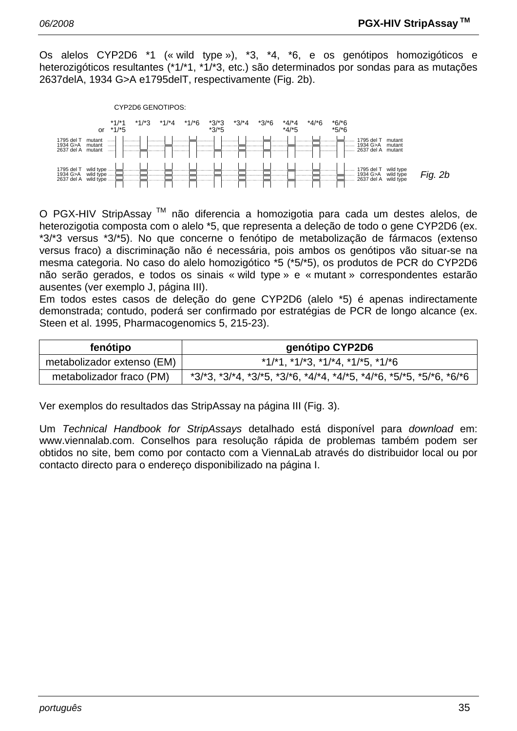Os alelos CYP2D6 \*1 (« wild type »), \*3, \*4, \*6, e os genótipos homozigóticos e heterozigóticos resultantes (\*1/\*1, \*1/\*3, etc.) são determinados por sondas para as mutações 2637delA, 1934 G>A e1795delT, respectivamente (Fig. 2b).



O PGX-HIV StripAssay TM não diferencia a homozigotia para cada um destes alelos, de heterozigotia composta com o alelo \*5, que representa a deleção de todo o gene CYP2D6 (ex. \*3/\*3 versus \*3/\*5). No que concerne o fenótipo de metabolização de fármacos (extenso versus fraco) a discriminação não é necessária, pois ambos os genótipos vão situar-se na mesma categoria. No caso do alelo homozigótico \*5 (\*5/\*5), os produtos de PCR do CYP2D6 não serão gerados, e todos os sinais « wild type » e « mutant » correspondentes estarão ausentes (ver exemplo J, página III).

Em todos estes casos de deleção do gene CYP2D6 (alelo \*5) é apenas indirectamente demonstrada; contudo, poderá ser confirmado por estratégias de PCR de longo alcance (ex. Steen et al. 1995, Pharmacogenomics 5, 215-23).

| fenótipo                   | genótipo CYP2D6                                                                         |
|----------------------------|-----------------------------------------------------------------------------------------|
| metabolizador extenso (EM) | $*1/*1$ , $*1/*3$ , $*1/*4$ , $*1/*5$ , $*1/*6$                                         |
| metabolizador fraco (PM)   | $*3/3$ , $*3/4$ , $*3/5$ , $*3/5$ , $*4/4$ , $*4/5$ , $*4/6$ , $*5/5$ , $*5/6$ , $*6/6$ |

Ver exemplos do resultados das StripAssay na página III (Fig. 3).

Um *Technical Handbook for StripAssays* detalhado está disponível para *download* em: www.viennalab.com. Conselhos para resolução rápida de problemas também podem ser obtidos no site, bem como por contacto com a ViennaLab através do distribuidor local ou por contacto directo para o endereço disponibilizado na página I.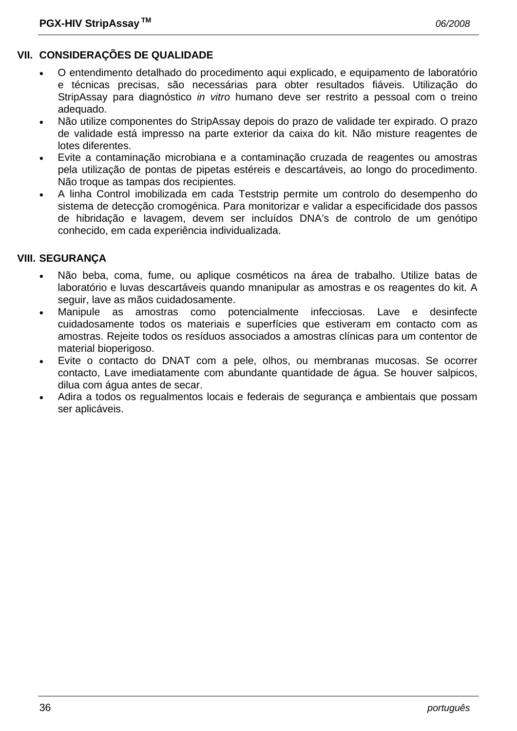# **VII. CONSIDERAÇÕES DE QUALIDADE**

- O entendimento detalhado do procedimento aqui explicado, e equipamento de laboratório e técnicas precisas, são necessárias para obter resultados fiáveis. Utilização do StripAssay para diagnóstico *in vitro* humano deve ser restrito a pessoal com o treino adequado.
- Não utilize componentes do StripAssay depois do prazo de validade ter expirado. O prazo de validade está impresso na parte exterior da caixa do kit. Não misture reagentes de lotes diferentes.
- Evite a contaminação microbiana e a contaminação cruzada de reagentes ou amostras pela utilização de pontas de pipetas estéreis e descartáveis, ao longo do procedimento. Não troque as tampas dos recipientes.
- A linha Control imobilizada em cada Teststrip permite um controlo do desempenho do sistema de detecção cromogénica. Para monitorizar e validar a especificidade dos passos de hibridação e lavagem, devem ser incluídos DNA's de controlo de um genótipo conhecido, em cada experiência individualizada.

### **VIII. SEGURANÇA**

- Não beba, coma, fume, ou aplique cosméticos na área de trabalho. Utilize batas de laboratório e luvas descartáveis quando mnanipular as amostras e os reagentes do kit. A seguir, lave as mãos cuidadosamente.
- Manipule as amostras como potencialmente infecciosas. Lave e desinfecte cuidadosamente todos os materiais e superfícies que estiveram em contacto com as amostras. Rejeite todos os resíduos associados a amostras clínicas para um contentor de material bioperigoso.
- Evite o contacto do DNAT com a pele, olhos, ou membranas mucosas. Se ocorrer contacto, Lave imediatamente com abundante quantidade de água. Se houver salpicos, dilua com água antes de secar.
- Adira a todos os regualmentos locais e federais de segurança e ambientais que possam ser aplicáveis.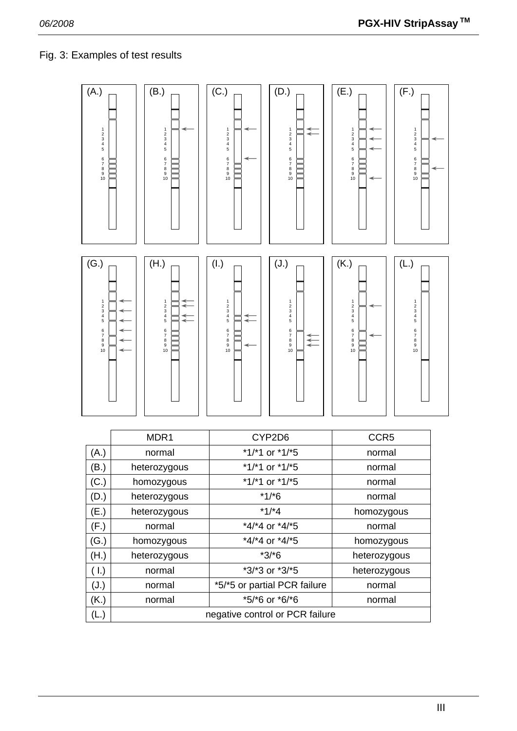# Fig. 3: Examples of test results

| (A.)<br>$\frac{1}{2}$ 3 4 5<br>6<br>7<br>8<br>9<br>10                       |                                 | (B.)<br>$\frac{1}{2}$ $\frac{2}{3}$ $\frac{3}{4}$ 5<br>6<br>7<br>8<br>9<br>10 | (C.)<br>$\frac{1}{2}$ $\frac{2}{3}$ $\frac{3}{4}$ 5<br>6<br>7<br>8<br>9<br>10                      | (D.)<br>$\frac{1}{2}$ 3<br>4<br>5<br>₹<br>6<br>7<br>8<br>9<br>10                   | (E.)<br>$123$<br>$45$<br>6<br>7<br>8<br>9<br>10                 | (F.)<br>$123$<br>$45$<br>6<br>7<br>8<br>9<br>10                             |  |
|-----------------------------------------------------------------------------|---------------------------------|-------------------------------------------------------------------------------|----------------------------------------------------------------------------------------------------|------------------------------------------------------------------------------------|-----------------------------------------------------------------|-----------------------------------------------------------------------------|--|
| (G.)<br>$\frac{1}{2}$ $\frac{2}{3}$ $\frac{4}{5}$<br>6<br>7<br>8<br>9<br>10 |                                 | (H.)<br>$123$<br>$45$<br>⇇<br>6<br>7<br>8<br>9<br>10                          | (I.)<br>$\frac{1}{2}$ $\frac{2}{3}$ $\frac{3}{4}$ 5<br>↞<br>$\leftarrow$<br>6<br>7<br>8<br>9<br>10 | (J.)<br>$\frac{1}{2}$ $\frac{2}{3}$ $\frac{3}{4}$ 5<br>6<br>7<br>8<br>9<br>₹<br>10 | (K.)<br>$\frac{1}{2}$ $\frac{3}{4}$ 5<br>6<br>7<br>8<br>9<br>10 | (L.)<br>$\frac{1}{2}$ $\frac{2}{3}$ $\frac{4}{5}$<br>6<br>7<br>8<br>9<br>10 |  |
|                                                                             | MDR1                            |                                                                               |                                                                                                    | CYP2D6                                                                             | CCR5                                                            |                                                                             |  |
| (A.)                                                                        |                                 | normal                                                                        | *1/*1 or *1/*5                                                                                     |                                                                                    | normal                                                          |                                                                             |  |
| (B.)                                                                        | heterozygous                    |                                                                               | *1/*1 or *1/*5                                                                                     |                                                                                    | normal                                                          |                                                                             |  |
| (C.)                                                                        | homozygous                      |                                                                               | *1/*1 or *1/*5                                                                                     |                                                                                    | normal                                                          |                                                                             |  |
| (D.)<br>(E.)                                                                | heterozygous<br>heterozygous    |                                                                               | $*1/*6$<br>$*1/*4$                                                                                 |                                                                                    | normal<br>homozygous                                            |                                                                             |  |
| (F.)                                                                        | normal                          |                                                                               | *4/*4 or *4/*5                                                                                     |                                                                                    | normal                                                          |                                                                             |  |
| (G.)                                                                        | homozygous                      |                                                                               | *4/*4 or *4/*5                                                                                     |                                                                                    | homozygous                                                      |                                                                             |  |
| (H.)                                                                        | heterozygous                    |                                                                               | $*3/*6$                                                                                            |                                                                                    | heterozygous                                                    |                                                                             |  |
| (1.)                                                                        | normal                          |                                                                               | *3/*3 or *3/*5                                                                                     |                                                                                    | heterozygous                                                    |                                                                             |  |
| (J.)                                                                        | normal                          |                                                                               | *5/*5 or partial PCR failure                                                                       |                                                                                    | normal                                                          |                                                                             |  |
| (K.)                                                                        | *5/*6 or *6/*6<br>normal        |                                                                               |                                                                                                    |                                                                                    | normal                                                          |                                                                             |  |
| (L.)                                                                        | negative control or PCR failure |                                                                               |                                                                                                    |                                                                                    |                                                                 |                                                                             |  |